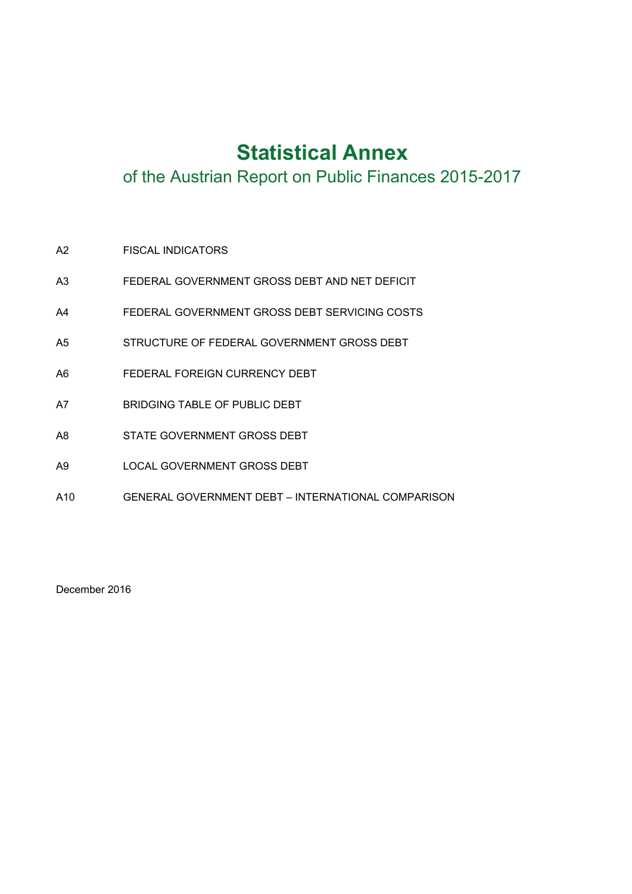# **Statistical Annex**

of the Austrian Report on Public Finances 2015-2017

- A2 FISCAL INDICATORS
- A3 FEDERAL GOVERNMENT GROSS DEBT AND NET DEFICIT
- A4 FEDERAL GOVERNMENT GROSS DEBT SERVICING COSTS
- A5 STRUCTURE OF FEDERAL GOVERNMENT GROSS DEBT
- A6 FEDERAL FOREIGN CURRENCY DEBT
- A7 BRIDGING TABLE OF PUBLIC DEBT
- A8 STATE GOVERNMENT GROSS DEBT
- A9 LOCAL GOVERNMENT GROSS DEBT
- A10 GENERAL GOVERNMENT DEBT INTERNATIONAL COMPARISON

December 2016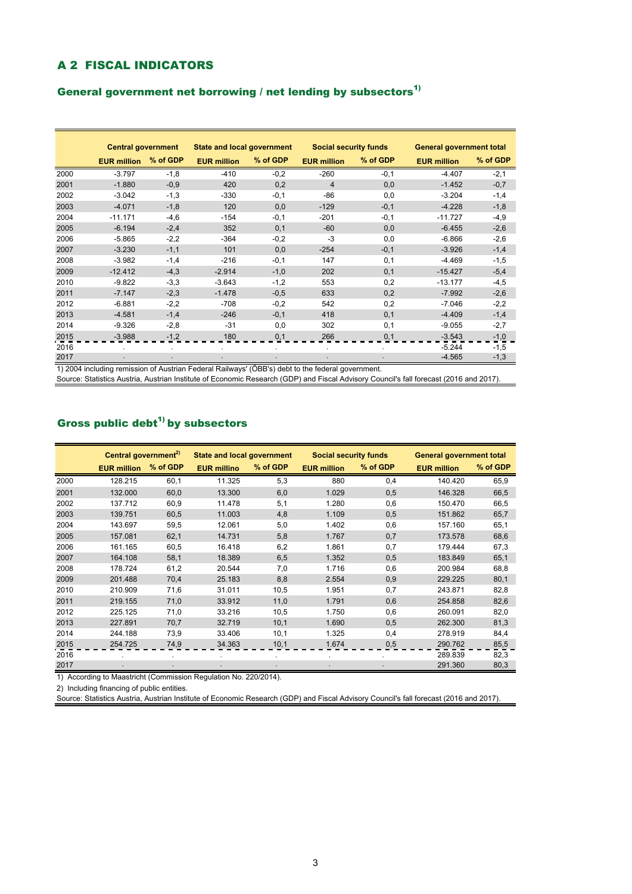#### A 2 FISCAL INDICATORS

#### General government net borrowing / net lending by subsectors $^{1)}$

|      | <b>Central government</b> |          | <b>State and local government</b>                                                                 |          | <b>Social security funds</b> |          | <b>General government total</b> |          |  |
|------|---------------------------|----------|---------------------------------------------------------------------------------------------------|----------|------------------------------|----------|---------------------------------|----------|--|
|      | <b>EUR million</b>        | % of GDP | <b>EUR million</b>                                                                                | % of GDP | <b>EUR million</b>           | % of GDP | <b>EUR million</b>              | % of GDP |  |
| 2000 | $-3.797$                  | $-1,8$   | $-410$                                                                                            | $-0,2$   | $-260$                       | $-0,1$   | $-4.407$                        | $-2,1$   |  |
| 2001 | $-1.880$                  | $-0,9$   | 420                                                                                               | 0,2      | $\overline{4}$               | 0,0      | $-1.452$                        | $-0,7$   |  |
| 2002 | $-3.042$                  | $-1,3$   | $-330$                                                                                            | $-0,1$   | -86                          | 0,0      | $-3.204$                        | $-1,4$   |  |
| 2003 | $-4.071$                  | $-1,8$   | 120                                                                                               | 0,0      | $-129$                       | $-0,1$   | $-4.228$                        | $-1,8$   |  |
| 2004 | $-11.171$                 | $-4,6$   | $-154$                                                                                            | $-0,1$   | $-201$                       | $-0,1$   | $-11.727$                       | $-4,9$   |  |
| 2005 | $-6.194$                  | $-2,4$   | 352                                                                                               | 0,1      | $-60$                        | 0,0      | $-6.455$                        | $-2,6$   |  |
| 2006 | $-5.865$                  | $-2,2$   | $-364$                                                                                            | $-0,2$   | $-3$                         | 0,0      | $-6.866$                        | $-2,6$   |  |
| 2007 | $-3.230$                  | $-1,1$   | 101                                                                                               | 0,0      | $-254$                       | $-0,1$   | $-3.926$                        | $-1,4$   |  |
| 2008 | $-3.982$                  | $-1,4$   | $-216$                                                                                            | $-0,1$   | 147                          | 0,1      | $-4.469$                        | $-1,5$   |  |
| 2009 | $-12.412$                 | $-4,3$   | $-2.914$                                                                                          | $-1,0$   | 202                          | 0,1      | $-15.427$                       | $-5,4$   |  |
| 2010 | $-9.822$                  | $-3,3$   | $-3.643$                                                                                          | $-1,2$   | 553                          | 0,2      | $-13.177$                       | $-4,5$   |  |
| 2011 | $-7.147$                  | $-2,3$   | $-1.478$                                                                                          | $-0,5$   | 633                          | 0,2      | $-7.992$                        | $-2,6$   |  |
| 2012 | $-6.881$                  | $-2,2$   | $-708$                                                                                            | $-0,2$   | 542                          | 0,2      | $-7.046$                        | $-2,2$   |  |
| 2013 | $-4.581$                  | $-1,4$   | $-246$                                                                                            | $-0,1$   | 418                          | 0,1      | $-4.409$                        | $-1,4$   |  |
| 2014 | $-9.326$                  | $-2,8$   | $-31$                                                                                             | 0,0      | 302                          | 0,1      | $-9.055$                        | $-2,7$   |  |
| 2015 | $-3.988$                  | $-1,2$   | 180                                                                                               | 0,1      | 266                          | 0,1      | $-3.543$                        | $-1,0$   |  |
| 2016 |                           |          |                                                                                                   |          |                              |          | $-5.244$                        | $-1,5$   |  |
| 2017 |                           |          |                                                                                                   |          |                              |          | $-4.565$                        | $-1,3$   |  |
|      |                           |          | 1) 2004 including remission of Austrian Federal Railways' (ÖBB's) debt to the federal government. |          |                              |          |                                 |          |  |

Source: Statistics Austria, Austrian Institute of Economic Research (GDP) and Fiscal Advisory Council's fall forecast (2016 and 2017).

## Gross public debt $^{1)}$  by subsectors

|      | Central government <sup>2)</sup> |          | <b>State and local government</b> |          | <b>Social security funds</b> |          | <b>General government total</b> |          |
|------|----------------------------------|----------|-----------------------------------|----------|------------------------------|----------|---------------------------------|----------|
|      | <b>EUR million</b>               | % of GDP | <b>EUR millino</b>                | % of GDP | <b>EUR million</b>           | % of GDP | <b>EUR million</b>              | % of GDP |
| 2000 | 128.215                          | 60,1     | 11.325                            | 5,3      | 880                          | 0,4      | 140.420                         | 65,9     |
| 2001 | 132.000                          | 60,0     | 13.300                            | 6,0      | 1.029                        | 0,5      | 146.328                         | 66,5     |
| 2002 | 137.712                          | 60,9     | 11.478                            | 5,1      | 1.280                        | 0,6      | 150.470                         | 66,5     |
| 2003 | 139.751                          | 60,5     | 11.003                            | 4,8      | 1.109                        | 0,5      | 151.862                         | 65,7     |
| 2004 | 143.697                          | 59,5     | 12.061                            | 5,0      | 1.402                        | 0,6      | 157.160                         | 65,1     |
| 2005 | 157.081                          | 62,1     | 14.731                            | 5,8      | 1.767                        | 0,7      | 173.578                         | 68,6     |
| 2006 | 161.165                          | 60,5     | 16.418                            | 6,2      | 1.861                        | 0,7      | 179.444                         | 67,3     |
| 2007 | 164.108                          | 58,1     | 18.389                            | 6,5      | 1.352                        | 0,5      | 183.849                         | 65,1     |
| 2008 | 178.724                          | 61,2     | 20.544                            | 7,0      | 1.716                        | 0,6      | 200.984                         | 68,8     |
| 2009 | 201.488                          | 70,4     | 25.183                            | 8,8      | 2.554                        | 0,9      | 229.225                         | 80,1     |
| 2010 | 210.909                          | 71,6     | 31.011                            | 10,5     | 1.951                        | 0,7      | 243.871                         | 82,8     |
| 2011 | 219.155                          | 71,0     | 33.912                            | 11,0     | 1.791                        | 0,6      | 254.858                         | 82,6     |
| 2012 | 225.125                          | 71,0     | 33.216                            | 10,5     | 1.750                        | 0,6      | 260.091                         | 82,0     |
| 2013 | 227.891                          | 70,7     | 32.719                            | 10,1     | 1.690                        | 0,5      | 262.300                         | 81,3     |
| 2014 | 244.188                          | 73,9     | 33.406                            | 10,1     | 1.325                        | 0,4      | 278.919                         | 84,4     |
| 2015 | 254.725                          | 74,9     | 34.363                            | 10,1     | 1.674                        | 0,5      | 290.762                         | 85,5     |
| 2016 |                                  |          |                                   |          |                              |          | 289.839                         | 82,3     |
| 2017 |                                  |          |                                   |          |                              |          | 291.360                         | 80,3     |

1) According to Maastricht (Commission Regulation No. 220/2014).

2) Including financing of public entities.

Source: Statistics Austria, Austrian Institute of Economic Research (GDP) and Fiscal Advisory Council's fall forecast (2016 and 2017).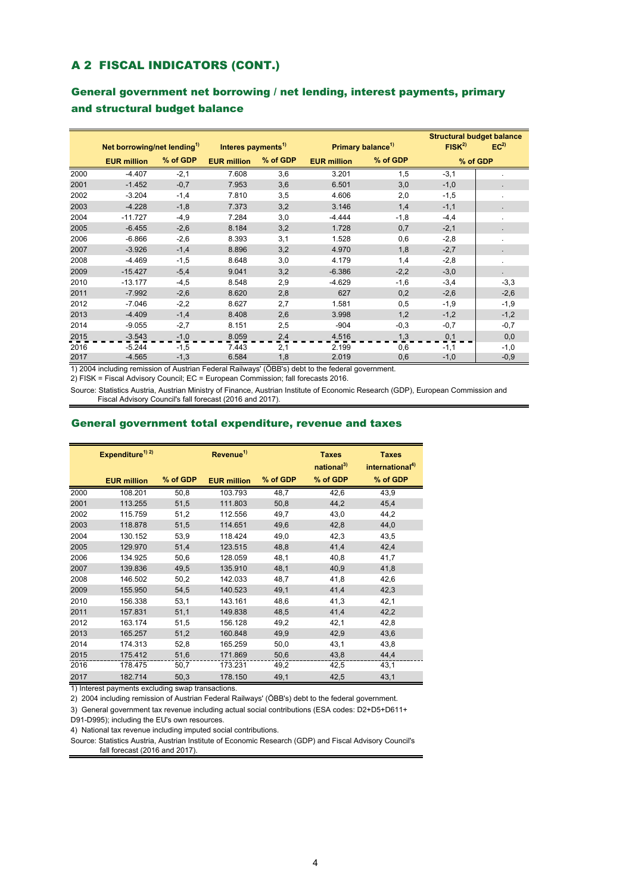### A 2 FISCAL INDICATORS (CONT.)

#### General government net borrowing / net lending, interest payments, primary and structural budget balance

|      |                                         |          |                                |          |                    |                               | <b>Structural budget balance</b> |                 |
|------|-----------------------------------------|----------|--------------------------------|----------|--------------------|-------------------------------|----------------------------------|-----------------|
|      | Net borrowing/net lending <sup>1)</sup> |          | Interes payments <sup>1)</sup> |          |                    | Primary balance <sup>1)</sup> | FISK <sup>2</sup>                | EC <sup>2</sup> |
|      | <b>EUR million</b>                      | % of GDP | <b>EUR million</b>             | % of GDP | <b>EUR million</b> | % of GDP                      |                                  | % of GDP        |
| 2000 | $-4.407$                                | $-2,1$   | 7.608                          | 3,6      | 3.201              | 1,5                           | $-3,1$                           |                 |
| 2001 | $-1.452$                                | $-0,7$   | 7.953                          | 3,6      | 6.501              | 3,0                           | $-1,0$                           |                 |
| 2002 | $-3.204$                                | $-1,4$   | 7.810                          | 3,5      | 4.606              | 2,0                           | $-1,5$                           |                 |
| 2003 | $-4.228$                                | $-1,8$   | 7.373                          | 3,2      | 3.146              | 1,4                           | $-1,1$                           |                 |
| 2004 | $-11.727$                               | $-4,9$   | 7.284                          | 3,0      | $-4.444$           | $-1,8$                        | $-4,4$                           |                 |
| 2005 | $-6.455$                                | $-2,6$   | 8.184                          | 3,2      | 1.728              | 0,7                           | $-2,1$                           |                 |
| 2006 | $-6.866$                                | $-2,6$   | 8.393                          | 3,1      | 1.528              | 0,6                           | $-2,8$                           |                 |
| 2007 | $-3.926$                                | $-1,4$   | 8.896                          | 3,2      | 4.970              | 1,8                           | $-2,7$                           |                 |
| 2008 | $-4.469$                                | $-1,5$   | 8.648                          | 3,0      | 4.179              | 1,4                           | $-2,8$                           | ٠               |
| 2009 | $-15.427$                               | $-5,4$   | 9.041                          | 3,2      | $-6.386$           | $-2,2$                        | $-3,0$                           |                 |
| 2010 | $-13.177$                               | $-4,5$   | 8.548                          | 2,9      | $-4.629$           | $-1,6$                        | $-3,4$                           | $-3,3$          |
| 2011 | $-7.992$                                | $-2,6$   | 8.620                          | 2,8      | 627                | 0,2                           | $-2,6$                           | $-2,6$          |
| 2012 | $-7.046$                                | $-2,2$   | 8.627                          | 2,7      | 1.581              | 0,5                           | $-1,9$                           | $-1,9$          |
| 2013 | $-4.409$                                | $-1,4$   | 8.408                          | 2,6      | 3.998              | 1,2                           | $-1,2$                           | $-1,2$          |
| 2014 | $-9.055$                                | $-2,7$   | 8.151                          | 2,5      | $-904$             | $-0,3$                        | $-0,7$                           | $-0,7$          |
| 2015 | $-3.543$                                | $-1,0$   | 8.059                          | 2,4      | 4.516              | 1,3                           | 0,1                              | 0,0             |
| 2016 | $-5.244$                                | $-1,5$   | 7.443                          | 2,1      | 2.199              | 0,6                           | $-1,1$                           | $-1,0$          |
| 2017 | $-4.565$                                | $-1,3$   | 6.584                          | 1,8      | 2.019              | 0,6                           | $-1,0$                           | $-0,9$          |

1) 2004 including remission of Austrian Federal Railways' (ÖBB's) debt to the federal government.

2) FISK = Fiscal Advisory Council; EC = European Commission; fall forecasts 2016.

Source: Statistics Austria, Austrian Ministry of Finance, Austrian Institute of Economic Research (GDP), European Commission and Fiscal Advisory Council's fall forecast (2016 and 2017).

#### General government total expenditure, revenue and taxes

|      | Expenditure <sup>1) 2)</sup> |          | Revenue <sup>1)</sup> |          | <b>Taxes</b><br>national <sup>3)</sup> | <b>Taxes</b><br>international <sup>4)</sup> |
|------|------------------------------|----------|-----------------------|----------|----------------------------------------|---------------------------------------------|
|      | <b>EUR million</b>           | % of GDP | <b>EUR million</b>    | % of GDP | % of GDP                               | % of GDP                                    |
| 2000 | 108.201                      | 50,8     | 103.793               | 48,7     | 42,6                                   | 43,9                                        |
| 2001 | 113.255                      | 51,5     | 111.803               | 50,8     | 44,2                                   | 45,4                                        |
| 2002 | 115.759                      | 51,2     | 112.556               | 49,7     | 43,0                                   | 44,2                                        |
| 2003 | 118.878                      | 51,5     | 114.651               | 49,6     | 42,8                                   | 44,0                                        |
| 2004 | 130.152                      | 53,9     | 118.424               | 49,0     | 42,3                                   | 43,5                                        |
| 2005 | 129.970                      | 51,4     | 123.515               | 48,8     | 41,4                                   | 42,4                                        |
| 2006 | 134.925                      | 50,6     | 128.059               | 48,1     | 40,8                                   | 41,7                                        |
| 2007 | 139.836                      | 49,5     | 135.910               | 48,1     | 40,9                                   | 41,8                                        |
| 2008 | 146.502                      | 50,2     | 142.033               | 48,7     | 41,8                                   | 42,6                                        |
| 2009 | 155.950                      | 54,5     | 140.523               | 49,1     | 41,4                                   | 42,3                                        |
| 2010 | 156.338                      | 53,1     | 143.161               | 48,6     | 41,3                                   | 42,1                                        |
| 2011 | 157.831                      | 51,1     | 149.838               | 48,5     | 41,4                                   | 42,2                                        |
| 2012 | 163.174                      | 51,5     | 156.128               | 49,2     | 42,1                                   | 42,8                                        |
| 2013 | 165.257                      | 51,2     | 160.848               | 49,9     | 42,9                                   | 43,6                                        |
| 2014 | 174.313                      | 52,8     | 165.259               | 50,0     | 43,1                                   | 43,8                                        |
| 2015 | 175.412                      | 51,6     | 171.869               | 50,6     | 43,8                                   | 44,4                                        |
| 2016 | 178.475                      | 50,7     | 173.231               | 49,2     | 42,5                                   | 43,1                                        |
| 2017 | 182.714                      | 50,3     | 178.150               | 49,1     | 42,5                                   | 43,1                                        |

1) Interest payments excluding swap transactions.

2) 2004 including remission of Austrian Federal Railways' (ÖBB's) debt to the federal government.

3) General government tax revenue including actual social contributions (ESA codes: D2+D5+D611+

D91-D995); including the EU's own resources.

4) National tax revenue including imputed social contributions.

Source: Statistics Austria, Austrian Institute of Economic Research (GDP) and Fiscal Advisory Council's fall forecast (2016 and 2017).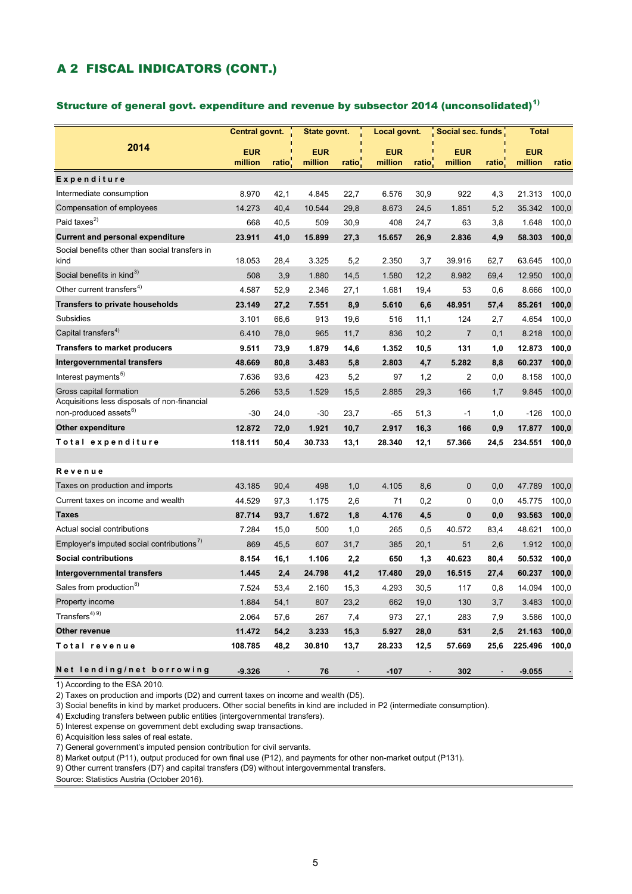### A 2 FISCAL INDICATORS (CONT.)

#### Structure of general govt. expenditure and revenue by subsector 2014 (unconsolidated) $<sup>1</sup>$ </sup>

|                                                                         | Central govnt. |                    | State govnt. |                    | Local govnt. |                    | Social sec. funds |                    | Total      |       |
|-------------------------------------------------------------------------|----------------|--------------------|--------------|--------------------|--------------|--------------------|-------------------|--------------------|------------|-------|
| 2014                                                                    | <b>EUR</b>     |                    | <b>EUR</b>   |                    | <b>EUR</b>   |                    | <b>EUR</b>        |                    | <b>EUR</b> |       |
|                                                                         | million        | ratio <sup>®</sup> | million      | ratio <sup>-</sup> | million      | ratio <sup>-</sup> | million           | ratio <sup>-</sup> | million    | ratio |
| Expenditure                                                             |                |                    |              |                    |              |                    |                   |                    |            |       |
| Intermediate consumption                                                | 8.970          | 42,1               | 4.845        | 22,7               | 6.576        | 30,9               | 922               | 4,3                | 21.313     | 100,0 |
| Compensation of employees                                               | 14.273         | 40,4               | 10.544       | 29,8               | 8.673        | 24,5               | 1.851             | 5,2                | 35.342     | 100,0 |
| Paid taxes <sup>2)</sup>                                                | 668            | 40,5               | 509          | 30,9               | 408          | 24,7               | 63                | 3,8                | 1.648      | 100,0 |
| <b>Current and personal expenditure</b>                                 | 23.911         | 41,0               | 15.899       | 27,3               | 15.657       | 26,9               | 2.836             | 4,9                | 58.303     | 100,0 |
| Social benefits other than social transfers in<br>kind                  | 18.053         | 28,4               | 3.325        | 5,2                | 2.350        | 3,7                | 39.916            | 62,7               | 63.645     | 100,0 |
| Social benefits in kind <sup>3)</sup>                                   | 508            | 3,9                | 1.880        | 14,5               | 1.580        | 12,2               | 8.982             | 69,4               | 12.950     | 100,0 |
| Other current transfers <sup>4)</sup>                                   | 4.587          | 52,9               | 2.346        | 27,1               | 1.681        | 19,4               | 53                | 0,6                | 8.666      | 100,0 |
| <b>Transfers to private households</b>                                  | 23.149         | 27,2               | 7.551        | 8,9                | 5.610        | 6,6                | 48.951            | 57,4               | 85.261     | 100,0 |
| <b>Subsidies</b>                                                        | 3.101          | 66,6               | 913          | 19,6               | 516          | 11,1               | 124               | 2,7                | 4.654      | 100,0 |
| Capital transfers <sup>4)</sup>                                         | 6.410          | 78,0               | 965          | 11,7               | 836          | 10,2               | $\overline{7}$    | 0,1                | 8.218      | 100,0 |
| <b>Transfers to market producers</b>                                    | 9.511          | 73,9               | 1.879        | 14,6               | 1.352        | 10,5               | 131               | 1,0                | 12.873     | 100,0 |
| Intergovernmental transfers                                             | 48.669         | 80,8               | 3.483        | 5,8                | 2.803        | 4,7                | 5.282             | 8,8                | 60.237     | 100,0 |
| Interest payments <sup>5)</sup>                                         | 7.636          | 93,6               | 423          | 5,2                | 97           | 1,2                | 2                 | 0,0                | 8.158      | 100,0 |
| Gross capital formation<br>Acquisitions less disposals of non-financial | 5.266          | 53,5               | 1.529        | 15,5               | 2.885        | 29,3               | 166               | 1,7                | 9.845      | 100,0 |
| non-produced assets <sup>6)</sup>                                       | $-30$          | 24,0               | $-30$        | 23,7               | $-65$        | 51,3               | $-1$              | 1,0                | $-126$     | 100,0 |
| <b>Other expenditure</b>                                                | 12.872         | 72,0               | 1.921        | 10,7               | 2.917        | 16,3               | 166               | 0,9                | 17.877     | 100,0 |
| Total expenditure                                                       | 118.111        | 50,4               | 30.733       | 13,1               | 28.340       | 12,1               | 57.366            | 24,5               | 234.551    | 100,0 |
|                                                                         |                |                    |              |                    |              |                    |                   |                    |            |       |
| Revenue                                                                 |                |                    |              |                    |              |                    |                   |                    |            |       |
| Taxes on production and imports                                         | 43.185         | 90,4               | 498          | 1,0                | 4.105        | 8,6                | $\mathbf 0$       | 0,0                | 47.789     | 100,0 |
| Current taxes on income and wealth                                      | 44.529         | 97,3               | 1.175        | 2,6                | 71           | 0,2                | 0                 | 0,0                | 45.775     | 100,0 |
| <b>Taxes</b>                                                            | 87.714         | 93,7               | 1.672        | 1,8                | 4.176        | 4,5                | $\mathbf{0}$      | 0,0                | 93.563     | 100,0 |
| Actual social contributions                                             | 7.284          | 15,0               | 500          | 1,0                | 265          | 0,5                | 40.572            | 83,4               | 48.621     | 100,0 |
| Employer's imputed social contributions <sup>7</sup>                    | 869            | 45,5               | 607          | 31,7               | 385          | 20,1               | 51                | 2,6                | 1.912      | 100,0 |
| <b>Social contributions</b>                                             | 8.154          | 16,1               | 1.106        | 2,2                | 650          | 1,3                | 40.623            | 80,4               | 50.532     | 100,0 |
| Intergovernmental transfers                                             | 1.445          | 2,4                | 24.798       | 41,2               | 17.480       | 29,0               | 16.515            | 27,4               | 60.237     | 100,0 |
| Sales from production <sup>8)</sup>                                     | 7.524          | 53,4               | 2.160        | 15,3               | 4.293        | 30,5               | 117               | 0,8                | 14.094     | 100,0 |
| Property income                                                         | 1.884          | 54,1               | 807          | 23,2               | 662          | 19,0               | 130               | 3,7                | 3.483      | 100,0 |
| Transfers <sup>4) 9)</sup>                                              | 2.064          | 57,6               | 267          | 7,4                | 973          | 27,1               | 283               | 7,9                | 3.586      | 100,0 |
| Other revenue                                                           | 11.472         | 54,2               | 3.233        | 15,3               | 5.927        | 28,0               | 531               | 2,5                | 21.163     | 100,0 |
| Total revenue                                                           | 108.785        | 48,2               | 30.810       | 13,7               | 28.233       | 12,5               | 57.669            | 25,6               | 225.496    | 100,0 |
| Net lending/net borrowing                                               | $-9.326$       |                    | 76           |                    | $-107$       |                    | 302               |                    | $-9.055$   |       |

1) According to the ESA 2010.

2) Taxes on production and imports (D2) and current taxes on income and wealth (D5).

3) Social benefits in kind by market producers. Other social benefits in kind are included in P2 (intermediate consumption).

4) Excluding transfers between public entities (intergovernmental transfers).

5) Interest expense on government debt excluding swap transactions.

6) Acquisition less sales of real estate.

7) General government's imputed pension contribution for civil servants.

8) Market output (P11), output produced for own final use (P12), and payments for other non-market output (P131).

9) Other current transfers (D7) and capital transfers (D9) without intergovernmental transfers.

Source: Statistics Austria (October 2016).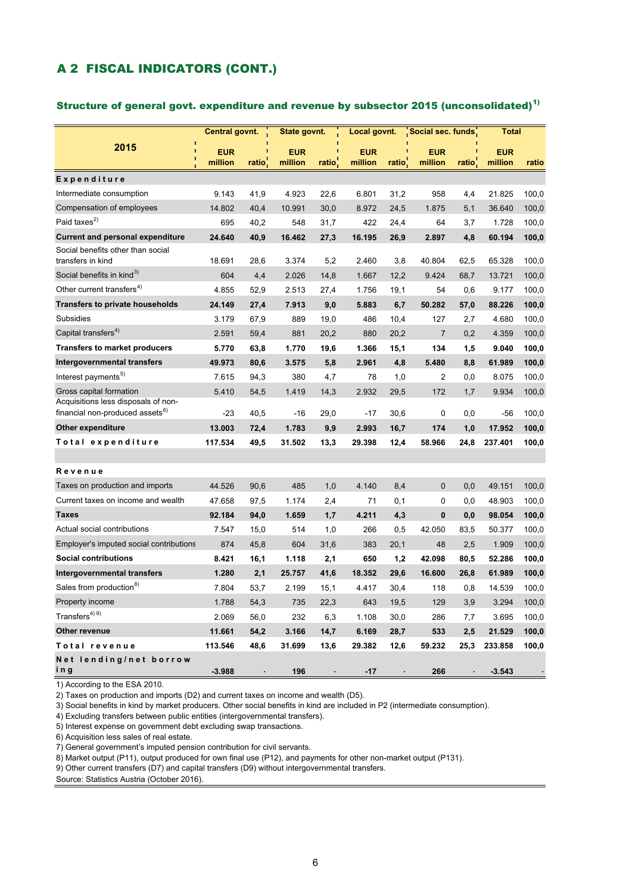### A 2 FISCAL INDICATORS (CONT.)

#### Structure of general govt. expenditure and revenue by subsector 2015 (unconsolidated)<sup>1)</sup>

|                                                                | Central govnt.        |       | State govnt.          |                    | Local govnt.          |                    | Social sec. funds     |                    | <b>Total</b>          |       |
|----------------------------------------------------------------|-----------------------|-------|-----------------------|--------------------|-----------------------|--------------------|-----------------------|--------------------|-----------------------|-------|
| 2015                                                           | <b>EUR</b><br>million | ratio | <b>EUR</b><br>million | ratio <sup>®</sup> | <b>EUR</b><br>million | ratio <sup>-</sup> | <b>EUR</b><br>million | ratio <sup>®</sup> | <b>EUR</b><br>million | ratio |
| Expenditure                                                    |                       |       |                       |                    |                       |                    |                       |                    |                       |       |
| Intermediate consumption                                       | 9.143                 | 41,9  | 4.923                 | 22.6               | 6.801                 | 31,2               | 958                   | 4.4                | 21.825                | 100,0 |
| Compensation of employees                                      | 14.802                | 40,4  | 10.991                | 30,0               | 8.972                 | 24,5               | 1.875                 | 5,1                | 36.640                | 100,0 |
| Paid taxes $^{2)}$                                             | 695                   | 40,2  | 548                   | 31,7               | 422                   | 24,4               | 64                    | 3,7                | 1.728                 | 100,0 |
| <b>Current and personal expenditure</b>                        | 24.640                | 40,9  | 16.462                | 27,3               | 16.195                | 26,9               | 2.897                 | 4,8                | 60.194                | 100,0 |
| Social benefits other than social<br>transfers in kind         | 18.691                | 28,6  | 3.374                 | 5,2                | 2.460                 | 3,8                | 40.804                | 62,5               | 65.328                | 100,0 |
| Social benefits in kind <sup>3)</sup>                          | 604                   | 4,4   | 2.026                 | 14,8               | 1.667                 | 12,2               | 9.424                 | 68,7               | 13.721                | 100,0 |
| Other current transfers <sup>4)</sup>                          | 4.855                 | 52,9  | 2.513                 | 27,4               | 1.756                 | 19,1               | 54                    | 0,6                | 9.177                 | 100,0 |
| <b>Transfers to private households</b>                         | 24.149                | 27,4  | 7.913                 | 9,0                | 5.883                 | 6,7                | 50.282                | 57,0               | 88.226                | 100,0 |
| <b>Subsidies</b>                                               | 3.179                 | 67,9  | 889                   | 19,0               | 486                   | 10,4               | 127                   | 2,7                | 4.680                 | 100,0 |
| Capital transfers <sup>4)</sup>                                | 2.591                 | 59,4  | 881                   | 20,2               | 880                   | 20,2               | $\overline{7}$        | 0,2                | 4.359                 | 100,0 |
| <b>Transfers to market producers</b>                           | 5.770                 | 63,8  | 1.770                 | 19,6               | 1.366                 | 15,1               | 134                   | 1,5                | 9.040                 | 100,0 |
| Intergovernmental transfers                                    | 49.973                | 80,6  | 3.575                 | 5,8                | 2.961                 | 4,8                | 5.480                 | 8,8                | 61.989                | 100,0 |
| Interest payments <sup>5)</sup>                                | 7.615                 | 94,3  | 380                   | 4,7                | 78                    | 1,0                | 2                     | 0,0                | 8.075                 | 100,0 |
| Gross capital formation<br>Acquisitions less disposals of non- | 5.410                 | 54,5  | 1.419                 | 14,3               | 2.932                 | 29,5               | 172                   | 1,7                | 9.934                 | 100,0 |
| financial non-produced assets <sup>6)</sup>                    | $-23$                 | 40,5  | $-16$                 | 29,0               | $-17$                 | 30,6               | 0                     | 0,0                | $-56$                 | 100,0 |
| <b>Other expenditure</b>                                       | 13.003                | 72,4  | 1.783                 | 9,9                | 2.993                 | 16,7               | 174                   | 1,0                | 17.952                | 100,0 |
| Total expenditure                                              | 117.534               | 49,5  | 31.502                | 13,3               | 29.398                | 12,4               | 58.966                | 24,8               | 237.401               | 100,0 |
|                                                                |                       |       |                       |                    |                       |                    |                       |                    |                       |       |
| Revenue                                                        |                       |       |                       |                    |                       |                    |                       |                    |                       |       |
| Taxes on production and imports                                | 44.526                | 90,6  | 485                   | 1.0                | 4.140                 | 8,4                | $\Omega$              | 0.0                | 49.151                | 100,0 |
| Current taxes on income and wealth                             | 47.658                | 97,5  | 1.174                 | 2,4                | 71                    | 0,1                | 0                     | 0,0                | 48.903                | 100,0 |
| Taxes                                                          | 92.184                | 94,0  | 1.659                 | 1,7                | 4.211                 | 4,3                | $\mathbf{0}$          | 0,0                | 98.054                | 100,0 |
| Actual social contributions                                    | 7.547                 | 15,0  | 514                   | 1,0                | 266                   | 0,5                | 42.050                | 83,5               | 50.377                | 100,0 |
| Employer's imputed social contributions                        | 874                   | 45,8  | 604                   | 31,6               | 383                   | 20,1               | 48                    | 2,5                | 1.909                 | 100,0 |
| <b>Social contributions</b>                                    | 8.421                 | 16,1  | 1.118                 | 2,1                | 650                   | 1,2                | 42.098                | 80,5               | 52.286                | 100,0 |
| Intergovernmental transfers                                    | 1.280                 | 2,1   | 25.757                | 41,6               | 18.352                | 29,6               | 16.600                | 26,8               | 61.989                | 100,0 |
| Sales from production <sup>8)</sup>                            | 7.804                 | 53,7  | 2.199                 | 15,1               | 4.417                 | 30,4               | 118                   | 0,8                | 14.539                | 100,0 |
| Property income                                                | 1.788                 | 54,3  | 735                   | 22,3               | 643                   | 19,5               | 129                   | 3,9                | 3.294                 | 100,0 |
| Transfers $4)$ $9)$                                            | 2.069                 | 56,0  | 232                   | 6,3                | 1.108                 | 30,0               | 286                   | 7,7                | 3.695                 | 100,0 |
| Other revenue                                                  | 11.661                | 54,2  | 3.166                 | 14,7               | 6.169                 | 28,7               | 533                   | 2,5                | 21.529                | 100,0 |
| Total revenue                                                  | 113.546               | 48,6  | 31.699                | 13,6               | 29.382                | 12,6               | 59.232                | 25,3               | 233.858               | 100,0 |
| Net lending/net borrow<br>ing                                  | $-3.988$              |       | 196                   |                    | $-17$                 |                    | 266                   |                    | $-3.543$              |       |

1) According to the ESA 2010.

2) Taxes on production and imports (D2) and current taxes on income and wealth (D5).

3) Social benefits in kind by market producers. Other social benefits in kind are included in P2 (intermediate consumption).

4) Excluding transfers between public entities (intergovernmental transfers).

5) Interest expense on government debt excluding swap transactions.

6) Acquisition less sales of real estate.

7) General government's imputed pension contribution for civil servants.

8) Market output (P11), output produced for own final use (P12), and payments for other non-market output (P131).

9) Other current transfers (D7) and capital transfers (D9) without intergovernmental transfers.

Source: Statistics Austria (October 2016).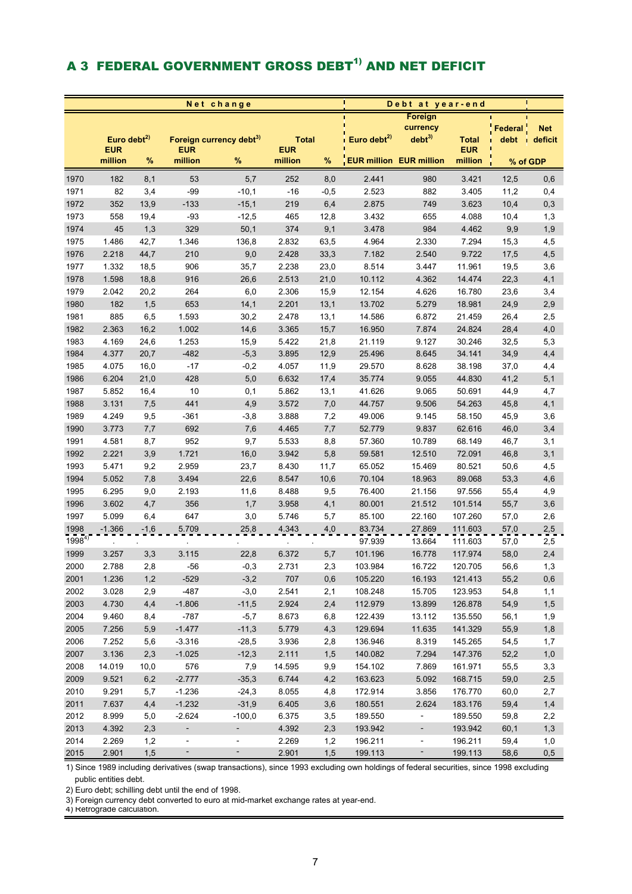# A 3 FEDERAL GOVERNMENT GROSS DEBT<sup>1)</sup> AND NET DEFICIT

|            |                                 |        |                          | Net change                          |                            | Debt at year-end |                                |                          |                            |                      |                    |
|------------|---------------------------------|--------|--------------------------|-------------------------------------|----------------------------|------------------|--------------------------------|--------------------------|----------------------------|----------------------|--------------------|
|            |                                 |        |                          |                                     |                            |                  |                                | Foreign                  |                            |                      |                    |
|            |                                 |        |                          |                                     |                            |                  |                                | currency                 |                            | Federal <sup>'</sup> | <b>Net</b>         |
|            | Euro debt $^{2)}$<br><b>EUR</b> |        | <b>EUR</b>               | Foreign currency debt <sup>3)</sup> | <b>Total</b><br><b>EUR</b> |                  | Euro debt <sup>2)</sup>        | debt <sup>3</sup>        | <b>Total</b><br><b>EUR</b> | debt                 | $\sqrt{ }$ deficit |
|            | million                         | %      | million                  | $\%$                                | million                    | $\%$             | <b>EUR million EUR million</b> |                          | million                    | % of GDP             |                    |
|            |                                 |        |                          |                                     |                            |                  |                                |                          |                            |                      |                    |
| 1970       | 182                             | 8,1    | 53                       | 5,7                                 | 252                        | 8,0              | 2.441                          | 980                      | 3.421                      | 12,5                 | 0,6                |
| 1971       | 82                              | 3,4    | $-99$                    | $-10,1$                             | $-16$                      | $-0,5$           | 2.523                          | 882                      | 3.405                      | 11,2                 | 0,4                |
| 1972       | 352                             | 13,9   | $-133$                   | $-15,1$                             | 219                        | 6,4              | 2.875                          | 749                      | 3.623                      | 10,4                 | 0,3                |
| 1973       | 558                             | 19,4   | $-93$                    | $-12,5$                             | 465                        | 12,8             | 3.432                          | 655                      | 4.088                      | 10,4                 | 1,3                |
| 1974       | 45                              | 1,3    | 329                      | 50,1                                | 374                        | 9,1              | 3.478                          | 984                      | 4.462                      | 9,9                  | 1,9                |
| 1975       | 1.486                           | 42,7   | 1.346                    | 136,8                               | 2.832                      | 63,5             | 4.964                          | 2.330                    | 7.294                      | 15,3                 | 4,5                |
| 1976       | 2.218                           | 44,7   | 210                      | 9,0                                 | 2.428                      | 33,3             | 7.182                          | 2.540                    | 9.722                      | 17,5                 | 4,5                |
| 1977       | 1.332                           | 18,5   | 906                      | 35,7                                | 2.238                      | 23,0             | 8.514                          | 3.447                    | 11.961                     | 19,5                 | 3,6                |
| 1978       | 1.598                           | 18,8   | 916                      | 26,6                                | 2.513                      | 21,0             | 10.112                         | 4.362                    | 14.474                     | 22,3                 | 4,1                |
| 1979       | 2.042                           | 20,2   | 264                      | 6,0                                 | 2.306                      | 15,9             | 12.154                         | 4.626                    | 16.780                     | 23,6                 | 3,4                |
| 1980       | 182                             | 1,5    | 653                      | 14,1                                | 2.201                      | 13,1             | 13.702                         | 5.279                    | 18.981                     | 24,9                 | 2,9                |
| 1981       | 885                             | 6,5    | 1.593                    | 30,2                                | 2.478                      | 13,1             | 14.586                         | 6.872                    | 21.459                     | 26,4                 | 2,5                |
| 1982       | 2.363                           | 16,2   | 1.002                    | 14,6                                | 3.365                      | 15,7             | 16.950                         | 7.874                    | 24.824                     | 28,4                 | 4,0                |
| 1983       | 4.169                           | 24,6   | 1.253                    | 15,9                                | 5.422                      | 21,8             | 21.119                         | 9.127                    | 30.246                     | 32,5                 | 5,3                |
| 1984       | 4.377                           | 20,7   | $-482$                   | $-5,3$                              | 3.895                      | 12,9             | 25.496                         | 8.645                    | 34.141                     | 34,9                 | 4,4                |
| 1985       | 4.075                           | 16,0   | $-17$                    | $-0,2$                              | 4.057                      | 11,9             | 29.570                         | 8.628                    | 38.198                     | 37,0                 | 4,4                |
| 1986       | 6.204                           | 21,0   | 428                      | 5,0                                 | 6.632                      | 17,4             | 35.774                         | 9.055                    | 44.830                     | 41,2                 | 5,1                |
| 1987       | 5.852                           | 16,4   | $10\,$                   | 0,1                                 | 5.862                      | 13,1             | 41.626                         | 9.065                    | 50.691                     | 44,9                 | 4,7                |
| 1988       | 3.131                           | 7,5    | 441                      | 4,9                                 | 3.572                      | 7,0              | 44.757                         | 9.506                    | 54.263                     | 45,8                 | 4,1                |
| 1989       | 4.249                           | 9,5    | $-361$                   | $-3,8$                              | 3.888                      | 7,2              | 49.006                         | 9.145                    | 58.150                     | 45,9                 | 3,6                |
| 1990       | 3.773                           | 7,7    | 692                      | 7,6                                 | 4.465                      | 7,7              | 52.779                         | 9.837                    | 62.616                     | 46,0                 | 3,4                |
| 1991       | 4.581                           | 8,7    | 952                      | 9,7                                 | 5.533                      | 8,8              | 57.360                         | 10.789                   | 68.149                     | 46,7                 | 3,1                |
| 1992       | 2.221                           | 3,9    | 1.721                    | 16,0                                | 3.942                      | 5,8              | 59.581                         | 12.510                   | 72.091                     | 46,8                 | 3,1                |
| 1993       | 5.471                           | 9,2    | 2.959                    | 23,7                                | 8.430                      | 11,7             | 65.052                         | 15.469                   | 80.521                     | 50,6                 | 4,5                |
| 1994       | 5.052                           | 7,8    | 3.494                    | 22,6                                | 8.547                      | 10,6             | 70.104                         | 18.963                   | 89.068                     | 53,3                 | 4,6                |
| 1995       | 6.295                           | 9,0    | 2.193                    | 11,6                                | 8.488                      | 9,5              | 76.400                         | 21.156                   | 97.556                     | 55,4                 | 4,9                |
| 1996       | 3.602                           | 4,7    | 356                      | 1,7                                 | 3.958                      | 4,1              | 80.001                         | 21.512                   | 101.514                    | 55,7                 | 3,6                |
| 1997       | 5.099                           | 6,4    | 647                      | 3,0                                 | 5.746                      | 5,7              | 85.100                         | 22.160                   | 107.260                    | 57,0                 | 2,6                |
| 1998       | $-1.366$                        | $-1,6$ | 5.709                    | 25,8                                | 4.343                      | 4,0              | 83.734                         | 27.869                   | 111.603                    | 57,0                 | 2,5                |
| $1998^{4}$ |                                 |        |                          |                                     |                            |                  | 97.939                         | 13.664                   | 111.603                    | 57,0                 | 2,5                |
| 1999       | 3.257                           | 3,3    | 3.115                    | 22,8                                | 6.372                      | 5,7              | 101.196                        | 16.778                   | 117.974                    | 58,0                 | 2,4                |
| 2000       | 2.788                           | 2,8    | $-56$                    | $-0,3$                              | 2.731                      | 2,3              | 103.984                        | 16.722                   | 120.705                    | 56,6                 | 1,3                |
| 2001       | 1.236                           | 1,2    | $-529$                   | $-3,2$                              | 707                        | 0,6              | 105.220                        | 16.193                   | 121.413                    | 55,2                 | 0,6                |
| 2002       | 3.028                           | 2,9    | $-487$                   | $-3,0$                              | 2.541                      | 2,1              | 108.248                        | 15.705                   | 123.953                    | 54,8                 | 1,1                |
| 2003       | 4.730                           | 4,4    | $-1.806$                 | $-11,5$                             | 2.924                      | 2,4              | 112.979                        | 13.899                   | 126.878                    | 54,9                 | 1,5                |
| 2004       | 9.460                           | 8,4    | $-787$                   | $-5,7$                              | 8.673                      | 6,8              | 122.439                        | 13.112                   | 135.550                    | 56,1                 | 1,9                |
| 2005       | 7.256                           | 5,9    | $-1.477$                 | $-11,3$                             | 5.779                      | 4,3              | 129.694                        | 11.635                   | 141.329                    | 55,9                 | 1,8                |
| 2006       | 7.252                           | 5,6    | $-3.316$                 | $-28,5$                             | 3.936                      | 2,8              | 136.946                        | 8.319                    | 145.265                    | 54,5                 | 1,7                |
| 2007       | 3.136                           | 2,3    | $-1.025$                 | $-12,3$                             | 2.111                      | 1,5              | 140.082                        | 7.294                    | 147.376                    | 52,2                 | 1,0                |
| 2008       | 14.019                          | 10,0   | 576                      | 7,9                                 | 14.595                     | 9,9              | 154.102                        | 7.869                    | 161.971                    | 55,5                 | 3,3                |
| 2009       | 9.521                           | 6,2    | $-2.777$                 | $-35,3$                             | 6.744                      | 4,2              | 163.623                        | 5.092                    | 168.715                    | 59,0                 | 2,5                |
| 2010       | 9.291                           | 5,7    | $-1.236$                 | $-24,3$                             | 8.055                      | 4,8              | 172.914                        | 3.856                    | 176.770                    | 60,0                 | 2,7                |
| 2011       | 7.637                           | 4,4    | $-1.232$                 | $-31,9$                             | 6.405                      | 3,6              | 180.551                        | 2.624                    | 183.176                    | 59,4                 | 1,4                |
| 2012       | 8.999                           | 5,0    | $-2.624$                 | $-100,0$                            | 6.375                      | 3,5              | 189.550                        | $\blacksquare$           | 189.550                    | 59,8                 | 2,2                |
| 2013       | 4.392                           | 2,3    | $\blacksquare$           | $\mathcal{L}_{\mathcal{A}}$         | 4.392                      | 2,3              | 193.942                        | $\overline{\phantom{a}}$ | 193.942                    | 60,1                 | 1,3                |
| 2014       | 2.269                           | 1,2    | $\overline{\phantom{a}}$ | ۰                                   | 2.269                      | 1,2              | 196.211                        | $\blacksquare$           | 196.211                    | 59,4                 | 1,0                |
| 2015       | 2.901                           | 1,5    | $\overline{\phantom{a}}$ | $\qquad \qquad \blacksquare$        | 2.901                      | 1,5              | 199.113                        | $\overline{\phantom{a}}$ | 199.113                    | 58,6                 | 0,5                |

1) Since 1989 including derivatives (swap transactions), since 1993 excluding own holdings of federal securities, since 1998 excluding public entities debt.

2) Euro debt; schilling debt until the end of 1998.

3) Foreign currency debt converted to euro at mid-market exchange rates at year-end.

4) Retrograde calculation.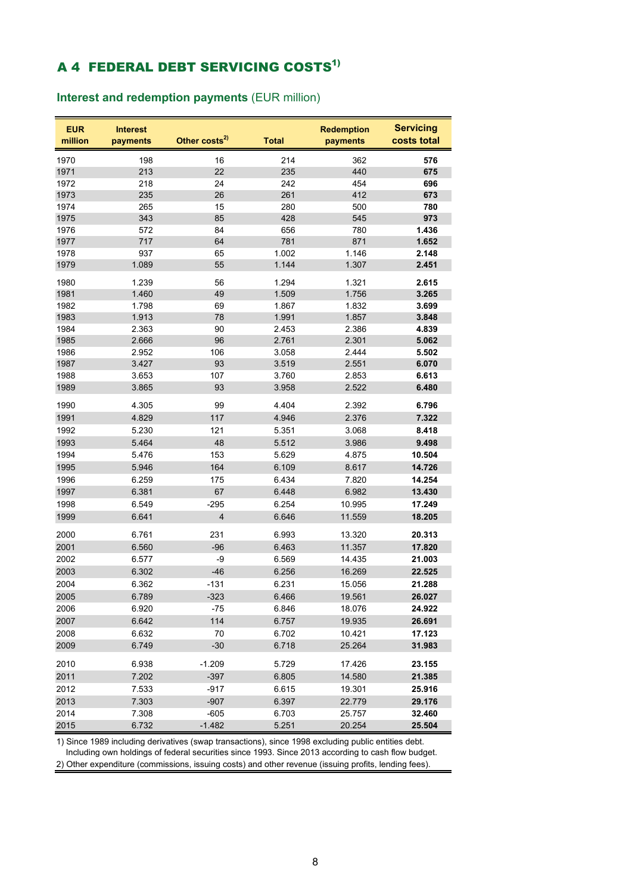# **A 4 FEDERAL DEBT SERVICING COSTS<sup>1)</sup>**

**Interest and redemption payments** (EUR million)

| <b>EUR</b><br>million | <b>Interest</b><br>payments | Other costs <sup>2)</sup> | <b>Total</b> | <b>Redemption</b><br>payments | <b>Servicing</b><br>costs total |
|-----------------------|-----------------------------|---------------------------|--------------|-------------------------------|---------------------------------|
| 1970                  | 198                         | 16                        | 214          | 362                           | 576                             |
| 1971                  | 213                         | 22                        | 235          | 440                           | 675                             |
| 1972                  | 218                         | 24                        | 242          | 454                           | 696                             |
| 1973                  | 235                         | 26                        | 261          | 412                           | 673                             |
| 1974                  | 265                         | 15                        | 280          | 500                           | 780                             |
| 1975                  | 343                         | 85                        | 428          | 545                           | 973                             |
| 1976                  | 572                         | 84                        | 656          | 780                           | 1.436                           |
| 1977                  | 717                         | 64                        | 781          | 871                           | 1.652                           |
| 1978                  | 937                         | 65                        | 1.002        | 1.146                         | 2.148                           |
| 1979                  | 1.089                       | 55                        | 1.144        | 1.307                         | 2.451                           |
| 1980                  | 1.239                       | 56                        | 1.294        | 1.321                         | 2.615                           |
| 1981                  | 1.460                       | 49                        | 1.509        | 1.756                         | 3.265                           |
| 1982                  | 1.798                       | 69                        | 1.867        | 1.832                         | 3.699                           |
| 1983                  | 1.913                       | 78                        | 1.991        | 1.857                         | 3.848                           |
| 1984                  | 2.363                       | 90                        | 2.453        | 2.386                         | 4.839                           |
| 1985                  | 2.666                       | 96                        | 2.761        | 2.301                         | 5.062                           |
| 1986                  | 2.952                       | 106                       | 3.058        | 2.444                         | 5.502                           |
| 1987                  | 3.427                       | 93                        | 3.519        | 2.551                         | 6.070                           |
| 1988                  | 3.653                       | 107                       | 3.760        | 2.853                         | 6.613                           |
| 1989                  | 3.865                       | 93                        | 3.958        | 2.522                         | 6.480                           |
| 1990                  | 4.305                       | 99                        | 4.404        | 2.392                         | 6.796                           |
| 1991                  | 4.829                       | 117                       | 4.946        | 2.376                         | 7.322                           |
| 1992                  | 5.230                       | 121                       | 5.351        | 3.068                         | 8.418                           |
| 1993                  | 5.464                       | 48                        | 5.512        | 3.986                         | 9.498                           |
| 1994                  | 5.476                       | 153                       | 5.629        | 4.875                         | 10.504                          |
| 1995                  | 5.946                       | 164                       | 6.109        | 8.617                         | 14.726                          |
| 1996                  | 6.259                       | 175                       | 6.434        | 7.820                         | 14.254                          |
| 1997                  | 6.381                       | 67                        | 6.448        | 6.982                         | 13.430                          |
| 1998                  | 6.549                       | $-295$                    | 6.254        | 10.995                        | 17.249                          |
| 1999                  | 6.641                       | 4                         | 6.646        | 11.559                        | 18.205                          |
| 2000                  | 6.761                       | 231                       | 6.993        | 13.320                        | 20.313                          |
| 2001                  | 6.560                       | $-96$                     | 6.463        | 11.357                        | 17.820                          |
| 2002                  | 6.577                       | -9                        | 6.569        | 14.435                        | 21.003                          |
| 2003                  | 6.302                       | $-46$                     | 6.256        | 16.269                        | 22.525                          |
| 2004                  | 6.362                       | -131                      | 6.231        | 15.056                        | 21.288                          |
| 2005                  | 6.789                       | $-323$                    | 6.466        | 19.561                        | 26.027                          |
| 2006                  | 6.920                       | -75                       | 6.846        | 18.076                        | 24.922                          |
| 2007                  | 6.642                       | 114                       | 6.757        | 19.935                        | 26.691                          |
| 2008                  | 6.632                       | 70                        | 6.702        | 10.421                        | 17.123                          |
| 2009                  | 6.749                       | $-30$                     | 6.718        | 25.264                        | 31.983                          |
| 2010                  | 6.938                       | $-1.209$                  | 5.729        | 17.426                        | 23.155                          |
| 2011                  | 7.202                       | $-397$                    | 6.805        | 14.580                        | 21.385                          |
| 2012                  | 7.533                       | $-917$                    | 6.615        | 19.301                        | 25.916                          |
| 2013                  | 7.303                       | $-907$                    | 6.397        | 22.779                        | 29.176                          |
| 2014                  | 7.308                       | $-605$                    | 6.703        | 25.757                        | 32.460                          |
| 2015                  | 6.732                       | $-1.482$                  | 5.251        | 20.254                        | 25.504                          |

1) Since 1989 including derivatives (swap transactions), since 1998 excluding public entities debt. Including own holdings of federal securities since 1993. Since 2013 according to cash flow budget.

2) Other expenditure (commissions, issuing costs) and other revenue (issuing profits, lending fees).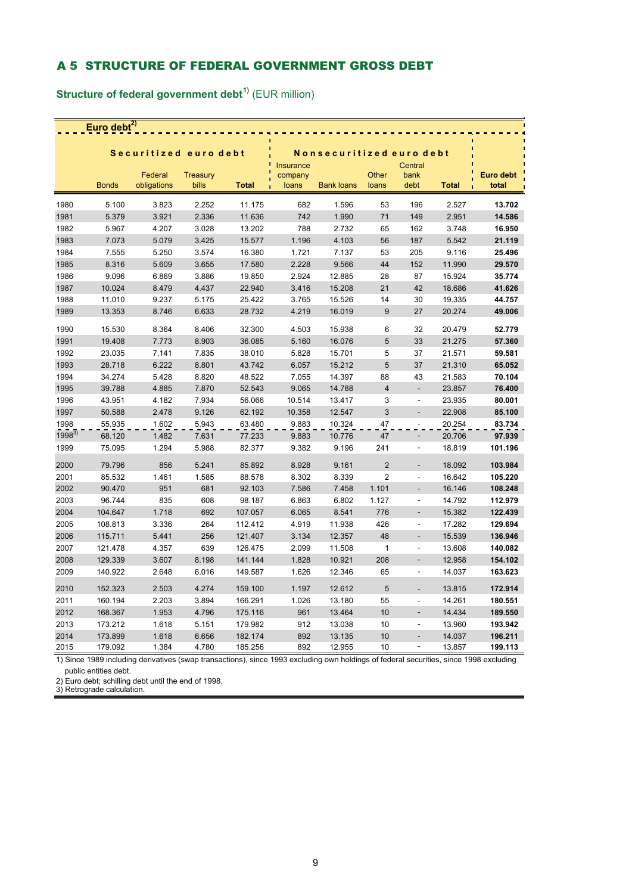### A 5 STRUCTURE OF FEDERAL GOVERNMENT GROSS DEBT

**Structure of federal government debt1)** (EUR million)

| Euro debt $^{2)}$ |              |                        |                          |              |                               |                          |                |                              |              |                    |  |
|-------------------|--------------|------------------------|--------------------------|--------------|-------------------------------|--------------------------|----------------|------------------------------|--------------|--------------------|--|
|                   |              |                        |                          |              |                               |                          |                |                              |              |                    |  |
|                   |              | Securitized euro debt  |                          |              |                               | Nonsecuritized euro debt |                |                              |              |                    |  |
|                   | <b>Bonds</b> | Federal<br>obligations | <b>Treasury</b><br>bills | <b>Total</b> | Insurance<br>company<br>loans | <b>Bank loans</b>        | Other<br>loans | Central<br>bank<br>debt      | <b>Total</b> | Euro debt<br>total |  |
| 1980              | 5.100        | 3.823                  | 2.252                    | 11.175       | 682                           | 1.596                    | 53             | 196                          | 2.527        | 13.702             |  |
| 1981              | 5.379        | 3.921                  | 2.336                    | 11.636       | 742                           | 1.990                    | 71             | 149                          | 2.951        | 14.586             |  |
| 1982              | 5.967        | 4.207                  | 3.028                    | 13.202       | 788                           | 2.732                    | 65             | 162                          | 3.748        | 16.950             |  |
| 1983              | 7.073        | 5.079                  | 3.425                    | 15.577       | 1.196                         | 4.103                    | 56             | 187                          | 5.542        | 21.119             |  |
| 1984              | 7.555        | 5.250                  | 3.574                    | 16.380       | 1.721                         | 7.137                    | 53             | 205                          | 9.116        | 25.496             |  |
| 1985              | 8.316        | 5.609                  | 3.655                    | 17.580       | 2.228                         | 9.566                    | 44             | 152                          | 11.990       | 29.570             |  |
| 1986              | 9.096        | 6.869                  | 3.886                    | 19.850       | 2.924                         | 12.885                   | 28             | 87                           | 15.924       | 35.774             |  |
| 1987              | 10.024       | 8.479                  | 4.437                    | 22.940       | 3.416                         | 15.208                   | 21             | 42                           | 18.686       | 41.626             |  |
| 1988              | 11.010       | 9.237                  | 5.175                    | 25.422       | 3.765                         | 15.526                   | 14             | 30                           | 19.335       | 44.757             |  |
| 1989              | 13.353       | 8.746                  | 6.633                    | 28.732       | 4.219                         | 16.019                   | 9              | 27                           | 20.274       | 49.006             |  |
| 1990              | 15.530       | 8.364                  | 8.406                    | 32.300       | 4.503                         | 15.938                   | 6              | 32                           | 20.479       | 52.779             |  |
| 1991              | 19.408       | 7.773                  | 8.903                    | 36.085       | 5.160                         | 16.076                   | 5              | 33                           | 21.275       | 57.360             |  |
| 1992              | 23.035       | 7.141                  | 7.835                    | 38.010       | 5.828                         | 15.701                   | 5              | 37                           | 21.571       | 59.581             |  |
| 1993              | 28.718       | 6.222                  | 8.801                    | 43.742       | 6.057                         | 15.212                   | 5              | 37                           | 21.310       | 65.052             |  |
| 1994              | 34.274       | 5.428                  | 8.820                    | 48.522       | 7.055                         | 14.397                   | 88             | 43                           | 21.583       | 70.104             |  |
| 1995              | 39.788       | 4.885                  | 7.870                    | 52.543       | 9.065                         | 14.788                   | $\overline{4}$ | $\overline{\phantom{a}}$     | 23.857       | 76.400             |  |
| 1996              | 43.951       | 4.182                  | 7.934                    | 56.066       | 10.514                        | 13.417                   | 3              | ÷,                           | 23.935       | 80.001             |  |
| 1997              | 50.588       | 2.478                  | 9.126                    | 62.192       | 10.358                        | 12.547                   | $\mathbf{3}$   |                              | 22.908       | 85.100             |  |
| 1998              | 55.935       | 1.602                  | 5.943                    | 63.480       | 9.883                         | 10.324                   | 47             |                              | 20.254       | 83.734             |  |
| $1998^{3}$        | 68.120       | 1.482                  | 7.631                    | 77.233       | 9.883                         | 10.776                   | 47             | ÷,                           | 20.706       | 97.939             |  |
| 1999              | 75.095       | 1.294                  | 5.988                    | 82.377       | 9.382                         | 9.196                    | 241            | ÷,                           | 18.819       | 101.196            |  |
| 2000              | 79.796       | 856                    | 5.241                    | 85.892       | 8.928                         | 9.161                    | $\overline{2}$ | ÷                            | 18.092       | 103.984            |  |
| 2001              | 85.532       | 1.461                  | 1.585                    | 88.578       | 8.302                         | 8.339                    | $\overline{2}$ | ÷,                           | 16.642       | 105.220            |  |
| 2002              | 90.470       | 951                    | 681                      | 92.103       | 7.586                         | 7.458                    | 1.101          | L.                           | 16.146       | 108.248            |  |
| 2003              | 96.744       | 835                    | 608                      | 98.187       | 6.863                         | 6.802                    | 1.127          | ÷,                           | 14.792       | 112.979            |  |
| 2004              | 104.647      | 1.718                  | 692                      | 107.057      | 6.065                         | 8.541                    | 776            | L.                           | 15.382       | 122.439            |  |
| 2005              | 108.813      | 3.336                  | 264                      | 112.412      | 4.919                         | 11.938                   | 426            | ÷,                           | 17.282       | 129.694            |  |
| 2006              | 115.711      | 5.441                  | 256                      | 121.407      | 3.134                         | 12.357                   | 48             | $\frac{1}{2}$                | 15.539       | 136.946            |  |
| 2007              | 121.478      | 4.357                  | 639                      | 126.475      | 2.099                         | 11.508                   | $\mathbf 1$    | ä,                           | 13.608       | 140.082            |  |
| 2008              | 129.339      | 3.607                  | 8.198                    | 141.144      | 1.828                         | 10.921                   | 208            | L.                           | 12.958       | 154.102            |  |
| 2009              | 140.922      | 2.648                  | 6.016                    | 149.587      | 1.626                         | 12.346                   | 65             | ÷                            | 14.037       | 163.623            |  |
| 2010              | 152.323      | 2.503                  | 4.274                    | 159.100      | 1.197                         | 12.612                   | 5              |                              | 13.815       | 172.914            |  |
| 2011              | 160.194      | 2.203                  | 3.894                    | 166.291      | 1.026                         | 13.180                   | 55             | $\qquad \qquad \blacksquare$ | 14.261       | 180.551            |  |
| 2012              | 168.367      | 1.953                  | 4.796                    | 175.116      | 961                           | 13.464                   | 10             | $\overline{a}$               | 14.434       | 189.550            |  |
| 2013              | 173.212      | 1.618                  | 5.151                    | 179.982      | 912                           | 13.038                   | 10             | $\overline{a}$               | 13.960       | 193.942            |  |
| 2014              | 173.899      | 1.618                  | 6.656                    | 182.174      | 892                           | 13.135                   | 10             | $\overline{\phantom{0}}$     | 14.037       | 196.211            |  |
| 2015              | 179.092      | 1.384                  | 4.780                    | 185.256      | 892                           | 12.955                   | 10             |                              | 13.857       | 199.113            |  |

1) Since 1989 including derivatives (swap transactions), since 1993 excluding own holdings of federal securities, since 1998 excluding public entities debt.

2) Euro debt; schilling debt until the end of 1998. 3) Retrograde calculation.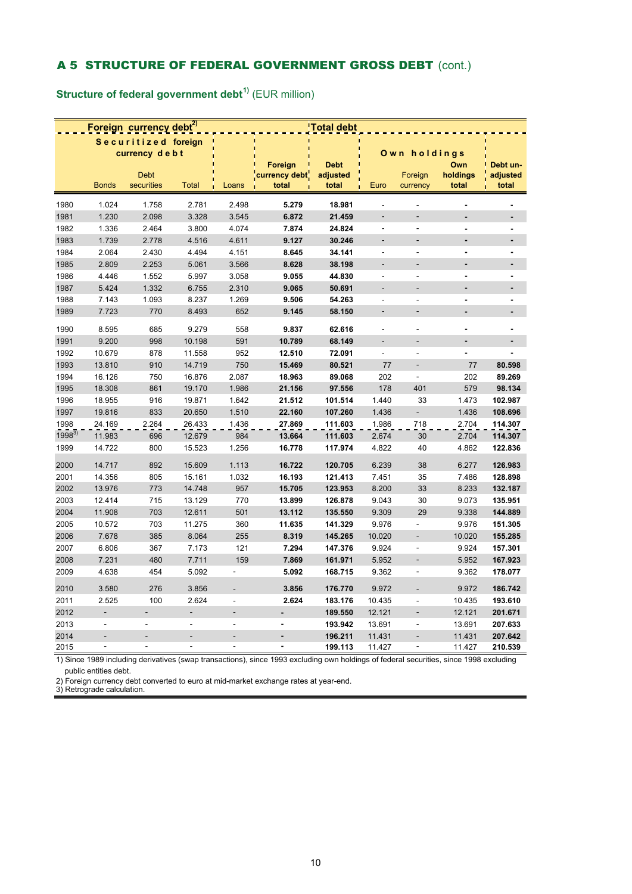## A 5 STRUCTURE OF FEDERAL GOVERNMENT GROSS DEBT (cont.)

**Structure of federal government debt1)** (EUR million)

|            |                | Foreign currency debt <sup>2)</sup> |                          | 'Total debt              |                                   |                                  |                          |                              |                          |                               |
|------------|----------------|-------------------------------------|--------------------------|--------------------------|-----------------------------------|----------------------------------|--------------------------|------------------------------|--------------------------|-------------------------------|
|            |                | Securitized foreign                 |                          |                          |                                   |                                  |                          |                              |                          |                               |
|            |                | currency debt                       |                          |                          |                                   |                                  |                          | Own holdings                 |                          |                               |
|            | <b>Bonds</b>   | <b>Debt</b><br>securities           | <b>Total</b>             | Loans                    | Foreign<br>currency debt<br>total | <b>Debt</b><br>adjusted<br>total | Euro                     | Foreign<br>currency          | Own<br>holdings<br>total | Debt un-<br>adjusted<br>total |
| 1980       | 1.024          | 1.758                               | 2.781                    | 2.498                    | 5.279                             | 18.981                           |                          |                              | $\blacksquare$           |                               |
| 1981       | 1.230          | 2.098                               | 3.328                    | 3.545                    | 6.872                             | 21.459                           | $\frac{1}{2}$            | ÷,                           | $\overline{a}$           |                               |
| 1982       | 1.336          | 2.464                               | 3.800                    | 4.074                    | 7.874                             | 24.824                           | $\blacksquare$           | ÷,                           | $\blacksquare$           | $\blacksquare$                |
| 1983       | 1.739          | 2.778                               | 4.516                    | 4.611                    | 9.127                             | 30.246                           |                          |                              | ÷,                       | ÷                             |
| 1984       | 2.064          | 2.430                               | 4.494                    | 4.151                    | 8.645                             | 34.141                           | ÷,                       | ÷,                           | $\overline{\phantom{a}}$ | $\blacksquare$                |
| 1985       | 2.809          | 2.253                               | 5.061                    | 3.566                    | 8.628                             | 38.198                           | ÷,                       | ÷,                           | ÷                        | $\overline{\phantom{a}}$      |
| 1986       | 4.446          | 1.552                               | 5.997                    | 3.058                    | 9.055                             | 44.830                           | ÷,                       | ÷,                           | $\blacksquare$           | $\overline{a}$                |
| 1987       | 5.424          | 1.332                               | 6.755                    | 2.310                    | 9.065                             | 50.691                           | $\overline{a}$           |                              | ÷,                       |                               |
| 1988       | 7.143          | 1.093                               | 8.237                    | 1.269                    | 9.506                             | 54.263                           | $\blacksquare$           | $\blacksquare$               | $\blacksquare$           | $\blacksquare$                |
| 1989       | 7.723          | 770                                 | 8.493                    | 652                      | 9.145                             | 58.150                           | ÷                        | ÷.                           | ÷,                       |                               |
| 1990       | 8.595          | 685                                 | 9.279                    | 558                      | 9.837                             | 62.616                           | $\overline{\phantom{a}}$ | $\overline{\phantom{a}}$     | $\blacksquare$           | $\blacksquare$                |
| 1991       | 9.200          | 998                                 | 10.198                   | 591                      | 10.789                            | 68.149                           |                          |                              |                          |                               |
| 1992       | 10.679         | 878                                 | 11.558                   | 952                      | 12.510                            | 72.091                           | ÷,                       | ÷,                           |                          |                               |
| 1993       | 13.810         | 910                                 | 14.719                   | 750                      | 15.469                            | 80.521                           | 77                       | L,                           | 77                       | 80.598                        |
| 1994       | 16.126         | 750                                 | 16.876                   | 2.087                    | 18.963                            | 89.068                           | 202                      | ÷,                           | 202                      | 89.269                        |
| 1995       | 18.308         | 861                                 | 19.170                   | 1.986                    | 21.156                            | 97.556                           | 178                      | 401                          | 579                      | 98.134                        |
| 1996       | 18.955         | 916                                 | 19.871                   | 1.642                    | 21.512                            | 101.514                          | 1.440                    | 33                           | 1.473                    | 102.987                       |
| 1997       | 19.816         | 833                                 | 20.650                   | 1.510                    | 22.160                            | 107.260                          | 1.436                    | Ĭ.                           | 1.436                    | 108.696                       |
| 1998       | 24.169         | 2.264                               | 26.433                   | 1.436                    | 27.869                            | 111.603                          | 1.986                    | 718                          | 2.704                    | 114.307                       |
| $1998^{3}$ | 11.983         | 696                                 | 12.679                   | 984                      | 13.664                            | 111.603                          | 2.674                    | 30                           | 2.704                    | 114.307                       |
| 1999       | 14.722         | 800                                 | 15.523                   | 1.256                    | 16.778                            | 117.974                          | 4.822                    | 40                           | 4.862                    | 122.836                       |
| 2000       | 14.717         | 892                                 | 15.609                   | 1.113                    | 16.722                            | 120.705                          | 6.239                    | 38                           | 6.277                    | 126.983                       |
| 2001       | 14.356         | 805                                 | 15.161                   | 1.032                    | 16.193                            | 121.413                          | 7.451                    | 35                           | 7.486                    | 128.898                       |
| 2002       | 13.976         | 773                                 | 14.748                   | 957                      | 15.705                            | 123.953                          | 8.200                    | 33                           | 8.233                    | 132.187                       |
| 2003       | 12.414         | 715                                 | 13.129                   | 770                      | 13.899                            | 126.878                          | 9.043                    | 30                           | 9.073                    | 135.951                       |
| 2004       | 11.908         | 703                                 | 12.611                   | 501                      | 13.112                            | 135.550                          | 9.309                    | 29                           | 9.338                    | 144.889                       |
| 2005       | 10.572         | 703                                 | 11.275                   | 360                      | 11.635                            | 141.329                          | 9.976                    | ÷,                           | 9.976                    | 151.305                       |
| 2006       | 7.678          | 385                                 | 8.064                    | 255                      | 8.319                             | 145.265                          | 10.020                   | ÷,                           | 10.020                   | 155.285                       |
| 2007       | 6.806          | 367                                 | 7.173                    | 121                      | 7.294                             | 147.376                          | 9.924                    | ÷,                           | 9.924                    | 157.301                       |
| 2008       | 7.231          | 480                                 | 7.711                    | 159                      | 7.869                             | 161.971                          | 5.952                    | ÷,                           | 5.952                    | 167.923                       |
| 2009       | 4.638          | 454                                 | 5.092                    | $\blacksquare$           | 5.092                             | 168.715                          | 9.362                    | ÷,                           | 9.362                    | 178.077                       |
| 2010       | 3.580          | 276                                 | 3.856                    |                          | 3.856                             | 176.770                          | 9.972                    |                              | 9.972                    | 186.742                       |
| 2011       | 2.525          | 100                                 | 2.624                    | $\overline{\phantom{a}}$ | 2.624                             | 183.176                          | 10.435                   | ÷,                           | 10.435                   | 193.610                       |
| 2012       | $\frac{1}{2}$  | $\overline{\phantom{a}}$            |                          |                          |                                   | 189.550                          | 12.121                   | $\qquad \qquad \blacksquare$ | 12.121                   | 201.671                       |
| 2013       | ä,             | ÷,                                  | ä,                       | $\sim$                   | $\blacksquare$                    | 193.942                          | 13.691                   | ÷,                           | 13.691                   | 207.633                       |
| 2014       |                |                                     |                          |                          | $\overline{a}$                    | 196.211                          | 11.431                   |                              | 11.431                   | 207.642                       |
| 2015       | $\blacksquare$ | ÷,                                  | $\overline{\phantom{a}}$ | $\overline{\phantom{a}}$ | $\blacksquare$                    | 199.113                          | 11.427                   | $\overline{\phantom{a}}$     | 11.427                   | 210.539                       |

1) Since 1989 including derivatives (swap transactions), since 1993 excluding own holdings of federal securities, since 1998 excluding public entities debt.

2) Foreign currency debt converted to euro at mid-market exchange rates at year-end. 3) Retrograde calculation.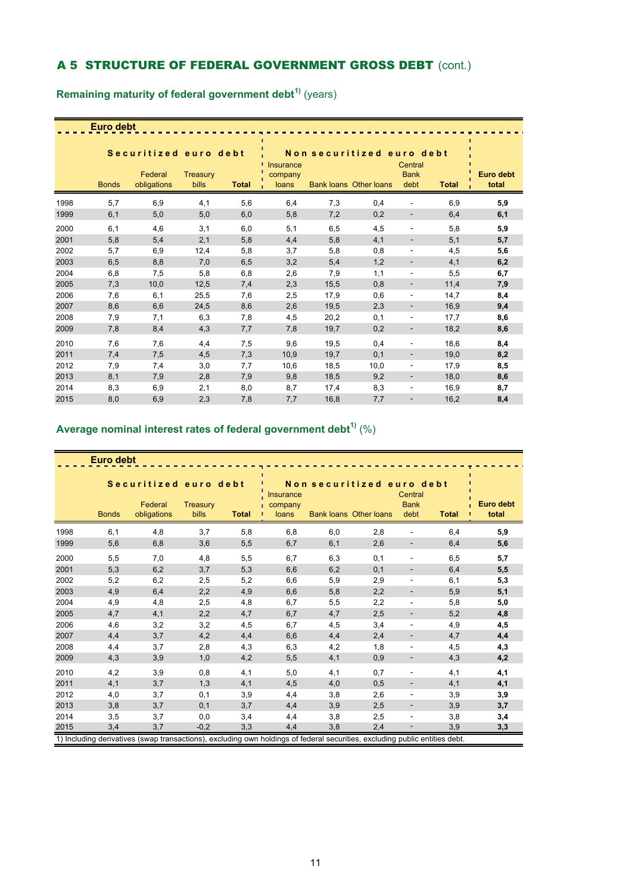## A 5 STRUCTURE OF FEDERAL GOVERNMENT GROSS DEBT (cont.)

|      | Euro debt    |                                                 |                   |              |                               |      |                                                            |                                |              |                    |
|------|--------------|-------------------------------------------------|-------------------|--------------|-------------------------------|------|------------------------------------------------------------|--------------------------------|--------------|--------------------|
|      | <b>Bonds</b> | Securitized euro debt<br>Federal<br>obligations | Treasury<br>bills | <b>Total</b> | Insurance<br>company<br>loans |      | Non securitized euro debt<br><b>Bank loans Other loans</b> | Central<br><b>Bank</b><br>debt | <b>Total</b> | Euro debt<br>total |
| 1998 | 5,7          | 6,9                                             | 4,1               | 5,6          | 6,4                           | 7,3  | 0,4                                                        |                                | 6,9          | 5,9                |
| 1999 | 6,1          | 5,0                                             | 5,0               | 6,0          | 5,8                           | 7,2  | 0,2                                                        |                                | 6,4          | 6,1                |
| 2000 | 6,1          | 4,6                                             | 3,1               | 6,0          | 5,1                           | 6,5  | 4,5                                                        | ٠                              | 5,8          | 5,9                |
| 2001 | 5,8          | 5,4                                             | 2,1               | 5,8          | 4,4                           | 5,8  | 4,1                                                        | -                              | 5,1          | 5,7                |
| 2002 | 5,7          | 6,9                                             | 12,4              | 5,8          | 3,7                           | 5,8  | 0,8                                                        | $\overline{a}$                 | 4,5          | 5,6                |
| 2003 | 6,5          | 8,8                                             | 7,0               | 6,5          | 3,2                           | 5,4  | 1,2                                                        |                                | 4,1          | 6,2                |
| 2004 | 6,8          | 7,5                                             | 5,8               | 6,8          | 2,6                           | 7,9  | 1,1                                                        | ٠                              | 5,5          | 6,7                |
| 2005 | 7,3          | 10,0                                            | 12,5              | 7,4          | 2,3                           | 15,5 | 0,8                                                        | -                              | 11,4         | 7,9                |
| 2006 | 7,6          | 6,1                                             | 25,5              | 7,6          | 2,5                           | 17,9 | 0,6                                                        | ٠                              | 14,7         | 8,4                |
| 2007 | 8,6          | 6,6                                             | 24,5              | 8,6          | 2,6                           | 19,5 | 2,3                                                        | ٠                              | 16,9         | 9,4                |
| 2008 | 7,9          | 7,1                                             | 6,3               | 7,8          | 4,5                           | 20,2 | 0,1                                                        | ٠                              | 17,7         | 8,6                |
| 2009 | 7,8          | 8,4                                             | 4,3               | 7,7          | 7,8                           | 19,7 | 0,2                                                        | -                              | 18,2         | 8,6                |
| 2010 | 7,6          | 7,6                                             | 4,4               | 7,5          | 9,6                           | 19,5 | 0,4                                                        | ٠                              | 18,6         | 8,4                |
| 2011 | 7,4          | 7,5                                             | 4,5               | 7,3          | 10,9                          | 19,7 | 0,1                                                        | ٠                              | 19,0         | 8,2                |
| 2012 | 7,9          | 7,4                                             | 3,0               | 7,7          | 10,6                          | 18,5 | 10,0                                                       | -                              | 17,9         | 8,5                |
| 2013 | 8,1          | 7,9                                             | 2,8               | 7,9          | 9,8                           | 18,5 | 9,2                                                        | -                              | 18,0         | 8,6                |
| 2014 | 8,3          | 6,9                                             | 2,1               | 8,0          | 8,7                           | 17,4 | 8,3                                                        | $\overline{\phantom{a}}$       | 16,9         | 8,7                |
| 2015 | 8,0          | 6,9                                             | 2,3               | 7,8          | 7,7                           | 16,8 | 7,7                                                        |                                | 16,2         | 8,4                |

**Remaining maturity of federal government debt1)** (years)

# **Average nominal interest rates of federal government debt1)** (%)

| Euro debt |              |                                                                                                                             |                   |              |                                      |     |                                                            |                                |              |                           |  |  |
|-----------|--------------|-----------------------------------------------------------------------------------------------------------------------------|-------------------|--------------|--------------------------------------|-----|------------------------------------------------------------|--------------------------------|--------------|---------------------------|--|--|
|           | <b>Bonds</b> | Securitized euro debt<br>Federal<br>obligations                                                                             | Treasury<br>bills | <b>Total</b> | <b>Insurance</b><br>company<br>loans |     | Non securitized euro debt<br><b>Bank loans Other loans</b> | Central<br><b>Bank</b><br>debt | <b>Total</b> | <b>Euro debt</b><br>total |  |  |
| 1998      | 6,1          | 4,8                                                                                                                         | 3,7               | 5,8          | 6,8                                  | 6,0 | 2,8                                                        |                                | 6,4          | 5,9                       |  |  |
| 1999      | 5,6          | 6,8                                                                                                                         | 3,6               | 5,5          | 6,7                                  | 6,1 | 2,6                                                        |                                | 6,4          | 5,6                       |  |  |
| 2000      | 5,5          | 7,0                                                                                                                         | 4,8               | 5,5          | 6,7                                  | 6,3 | 0,1                                                        | ä,                             | 6,5          | 5,7                       |  |  |
| 2001      | 5,3          | 6,2                                                                                                                         | 3,7               | 5,3          | 6,6                                  | 6,2 | 0,1                                                        | -                              | 6,4          | 5,5                       |  |  |
| 2002      | 5,2          | 6,2                                                                                                                         | 2,5               | 5,2          | 6,6                                  | 5,9 | 2,9                                                        | ۰                              | 6,1          | 5,3                       |  |  |
| 2003      | 4,9          | 6,4                                                                                                                         | 2,2               | 4,9          | 6,6                                  | 5,8 | 2,2                                                        |                                | 5,9          | 5,1                       |  |  |
| 2004      | 4,9          | 4,8                                                                                                                         | 2,5               | 4,8          | 6,7                                  | 5,5 | 2,2                                                        | $\overline{\phantom{0}}$       | 5,8          | 5,0                       |  |  |
| 2005      | 4,7          | 4,1                                                                                                                         | 2,2               | 4,7          | 6,7                                  | 4,7 | 2,5                                                        | -                              | 5,2          | 4,8                       |  |  |
| 2006      | 4,6          | 3,2                                                                                                                         | 3,2               | 4,5          | 6,7                                  | 4,5 | 3,4                                                        | ٠                              | 4,9          | 4,5                       |  |  |
| 2007      | 4,4          | 3,7                                                                                                                         | 4,2               | 4,4          | 6,6                                  | 4,4 | 2,4                                                        |                                | 4,7          | 4,4                       |  |  |
| 2008      | 4,4          | 3,7                                                                                                                         | 2,8               | 4,3          | 6,3                                  | 4,2 | 1,8                                                        | ÷                              | 4,5          | 4,3                       |  |  |
| 2009      | 4,3          | 3,9                                                                                                                         | 1,0               | 4,2          | 5,5                                  | 4,1 | 0,9                                                        | $\overline{\phantom{0}}$       | 4,3          | 4,2                       |  |  |
| 2010      | 4,2          | 3,9                                                                                                                         | 0,8               | 4,1          | 5,0                                  | 4,1 | 0,7                                                        |                                | 4,1          | 4,1                       |  |  |
| 2011      | 4,1          | 3,7                                                                                                                         | 1,3               | 4,1          | 4,5                                  | 4,0 | 0,5                                                        | -                              | 4,1          | 4,1                       |  |  |
| 2012      | 4,0          | 3,7                                                                                                                         | 0,1               | 3,9          | 4,4                                  | 3,8 | 2,6                                                        |                                | 3,9          | 3,9                       |  |  |
| 2013      | 3,8          | 3,7                                                                                                                         | 0,1               | 3,7          | 4,4                                  | 3,9 | 2,5                                                        | ÷                              | 3,9          | 3,7                       |  |  |
| 2014      | 3,5          | 3,7                                                                                                                         | 0,0               | 3,4          | 4,4                                  | 3,8 | 2,5                                                        | ä,                             | 3,8          | 3,4                       |  |  |
| 2015      | 3,4          | 3,7                                                                                                                         | $-0,2$            | 3,3          | 4,4                                  | 3,8 | 2,4                                                        |                                | 3,9          | 3,3                       |  |  |
|           |              | 1) Including derivatives (swap transactions), excluding own holdings of federal securities, excluding public entities debt. |                   |              |                                      |     |                                                            |                                |              |                           |  |  |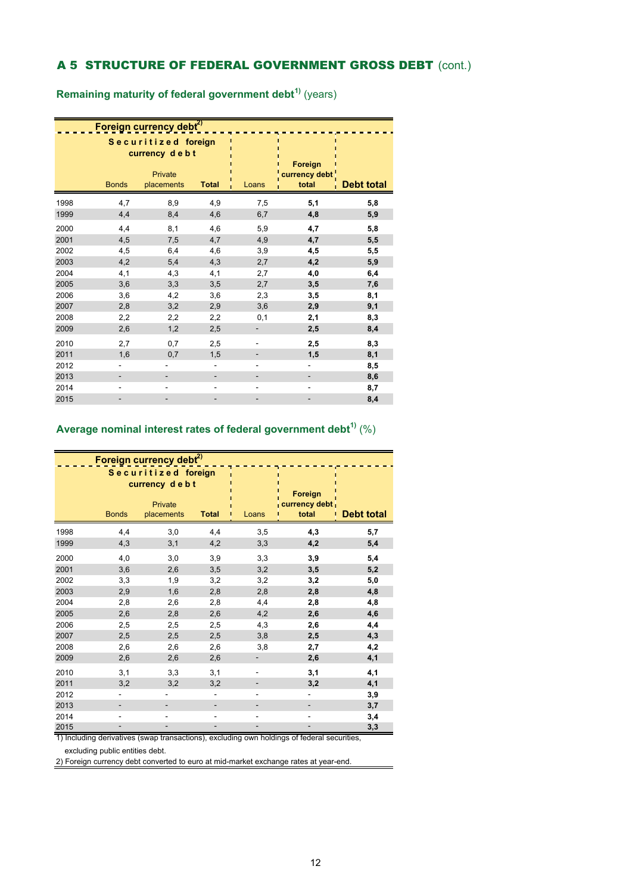## A 5 STRUCTURE OF FEDERAL GOVERNMENT GROSS DEBT (cont.)

**Remaining maturity of federal government debt1)** (years)

|      |              | Foreign currency debt <sup>2)</sup>                           |              |                          |                                   |                   |
|------|--------------|---------------------------------------------------------------|--------------|--------------------------|-----------------------------------|-------------------|
|      | <b>Bonds</b> | Securitized foreign<br>currency debt<br>Private<br>placements | <b>Total</b> | Loans                    | Foreign<br>currency debt<br>total | <b>Debt total</b> |
| 1998 | 4,7          | 8,9                                                           | 4,9          | 7,5                      | 5,1                               | 5,8               |
| 1999 | 4,4          | 8,4                                                           | 4,6          | 6,7                      | 4,8                               | 5,9               |
| 2000 | 4,4          | 8,1                                                           | 4,6          | 5,9                      | 4,7                               | 5,8               |
| 2001 | 4,5          | 7,5                                                           | 4,7          | 4,9                      | 4,7                               | 5,5               |
| 2002 | 4,5          | 6,4                                                           | 4,6          | 3,9                      | 4,5                               | 5,5               |
| 2003 | 4,2          | 5,4                                                           | 4,3          | 2,7                      | 4,2                               | 5,9               |
| 2004 | 4,1          | 4,3                                                           | 4,1          | 2,7                      | 4,0                               | 6,4               |
| 2005 | 3,6          | 3,3                                                           | 3,5          | 2,7                      | 3,5                               | 7,6               |
| 2006 | 3,6          | 4,2                                                           | 3,6          | 2,3                      | 3,5                               | 8,1               |
| 2007 | 2,8          | 3,2                                                           | 2,9          | 3,6                      | 2,9                               | 9,1               |
| 2008 | 2,2          | 2,2                                                           | 2,2          | 0,1                      | 2,1                               | 8,3               |
| 2009 | 2,6          | 1,2                                                           | 2,5          |                          | 2,5                               | 8,4               |
| 2010 | 2,7          | 0,7                                                           | 2,5          |                          | 2,5                               | 8,3               |
| 2011 | 1,6          | 0,7                                                           | 1,5          | $\overline{\phantom{m}}$ | 1,5                               | 8,1               |
| 2012 | -            |                                                               | ٠            | $\overline{\phantom{a}}$ | -                                 | 8,5               |
| 2013 |              |                                                               |              |                          |                                   | 8,6               |
| 2014 | -            |                                                               |              |                          | -                                 | 8,7               |
| 2015 |              |                                                               |              |                          |                                   | 8,4               |

## **Average nominal interest rates of federal government debt1)** (%)

|               |                          | Foreign currency debt <sup>2)</sup><br>Securitized foreign<br>currency debt |              |                          | Foreign                      |                   |
|---------------|--------------------------|-----------------------------------------------------------------------------|--------------|--------------------------|------------------------------|-------------------|
|               | <b>Bonds</b>             | Private<br>placements                                                       | <b>Total</b> | Loans                    | currency debt<br>total       | <b>Debt total</b> |
| 1998          | 4,4                      | 3,0                                                                         | 4,4          | 3,5                      | 4,3                          | 5,7               |
| 1999          | 4,3                      | 3,1                                                                         | 4,2          | 3,3                      | 4,2                          | 5,4               |
| 2000          | 4,0                      | 3,0                                                                         | 3,9          | 3,3                      | 3,9                          | 5,4               |
| 2001          | 3,6                      | 2,6                                                                         | 3,5          | 3,2                      | 3,5                          | 5,2               |
| 2002          | 3,3                      | 1,9                                                                         | 3,2          | 3,2                      | 3,2                          | 5,0               |
| 2003          | 2,9                      | 1,6                                                                         | 2,8          | 2,8                      | 2,8                          | 4,8               |
| 2004          | 2,8                      | 2,6                                                                         | 2,8          | 4,4                      | 2,8                          | 4,8               |
| 2005          | 2,6                      | 2,8                                                                         | 2,6          | 4,2                      | 2,6                          | 4,6               |
| 2006          | 2,5                      | 2,5                                                                         | 2,5          | 4,3                      | 2,6                          | 4,4               |
| 2007          | 2,5                      | 2,5                                                                         | 2,5          | 3,8                      | 2,5                          | 4,3               |
| 2008          | 2,6                      | 2,6                                                                         | 2,6          | 3,8                      | 2,7                          | 4,2               |
| 2009          | 2,6                      | 2,6                                                                         | 2,6          | -                        | 2,6                          | 4,1               |
| 2010          | 3,1                      | 3,3                                                                         | 3,1          | $\overline{a}$           | 3,1                          | 4,1               |
| 2011          | 3,2                      | 3,2                                                                         | 3,2          |                          | 3,2                          | 4,1               |
| 2012          | $\overline{\phantom{0}}$ |                                                                             |              | ÷,                       | $\qquad \qquad \blacksquare$ | 3,9               |
| 2013          |                          |                                                                             |              |                          |                              | 3,7               |
| 2014          | -                        |                                                                             |              | $\overline{\phantom{0}}$ | -                            | 3,4               |
| 2015<br>7. T. | $\overline{\phantom{0}}$ |                                                                             | -            | -                        | $\overline{\phantom{a}}$     | 3,3               |

1) Including derivatives (swap transactions), excluding own holdings of federal securities,

excluding public entities debt.

2) Foreign currency debt converted to euro at mid-market exchange rates at year-end.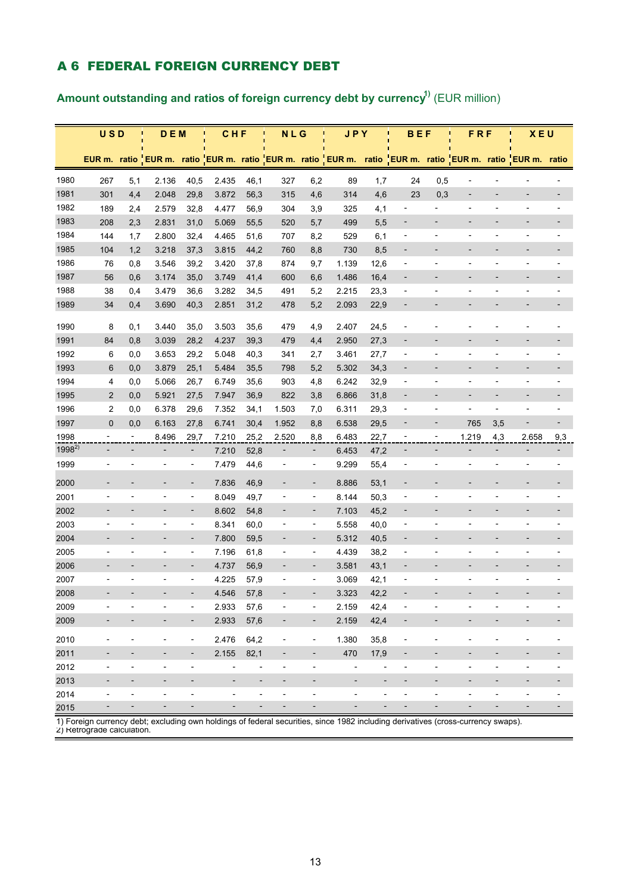### A 6 FEDERAL FOREIGN CURRENCY DEBT

Amount outstanding and ratios of foreign currency debt by currency<sup>1)</sup> (EUR million)

|            | <b>USD</b>                   | п                            | <b>DEM</b>                   | п                            | <b>CHF</b>                   | ū                            | N L G                    |                              | <b>JPY</b>                                                 |                          | <b>BEF</b><br>п              |                              | <b>FRF</b><br>П          |                              | <b>XEU</b><br>п                              |                              |
|------------|------------------------------|------------------------------|------------------------------|------------------------------|------------------------------|------------------------------|--------------------------|------------------------------|------------------------------------------------------------|--------------------------|------------------------------|------------------------------|--------------------------|------------------------------|----------------------------------------------|------------------------------|
|            |                              |                              |                              |                              |                              |                              |                          |                              |                                                            |                          |                              |                              |                          |                              |                                              |                              |
|            |                              |                              |                              |                              |                              |                              |                          |                              | EUR m. ratio EUR m. ratio EUR m. ratio EUR m. ratio EUR m. |                          |                              |                              |                          |                              | ratio EUR m. ratio EUR m. ratio EUR m. ratio |                              |
| 1980       | 267                          | 5,1                          | 2.136                        | 40,5                         | 2.435                        | 46,1                         | 327                      | 6,2                          | 89                                                         | 1,7                      | 24                           | 0,5                          | $\blacksquare$           |                              |                                              |                              |
| 1981       | 301                          | 4,4                          | 2.048                        | 29,8                         | 3.872                        | 56,3                         | 315                      | 4,6                          | 314                                                        | 4,6                      | 23                           | 0,3                          |                          |                              |                                              |                              |
| 1982       | 189                          | 2,4                          | 2.579                        | 32,8                         | 4.477                        | 56,9                         | 304                      | 3,9                          | 325                                                        | 4,1                      | $\overline{\phantom{a}}$     | $\overline{\phantom{0}}$     | $\overline{\phantom{a}}$ | $\qquad \qquad \blacksquare$ | $\overline{\phantom{0}}$                     |                              |
| 1983       | 208                          | 2,3                          | 2.831                        | 31,0                         | 5.069                        | 55,5                         | 520                      | 5,7                          | 499                                                        | 5,5                      | $\overline{a}$               | $\overline{\phantom{0}}$     |                          |                              |                                              |                              |
| 1984       | 144                          | 1,7                          | 2.800                        | 32,4                         | 4.465                        | 51,6                         | 707                      | 8,2                          | 529                                                        | 6,1                      | $\overline{a}$               |                              |                          |                              | $\overline{a}$                               |                              |
| 1985       | 104                          | 1,2                          | 3.218                        | 37,3                         | 3.815                        | 44,2                         | 760                      | 8,8                          | 730                                                        | 8,5                      | $\overline{\phantom{a}}$     |                              |                          | $\overline{a}$               | $\overline{\phantom{0}}$                     |                              |
| 1986       | 76                           | 0,8                          | 3.546                        | 39,2                         | 3.420                        | 37,8                         | 874                      | 9,7                          | 1.139                                                      | 12,6                     | $\overline{a}$               |                              |                          |                              |                                              |                              |
| 1987       | 56                           | 0,6                          | 3.174                        | 35,0                         | 3.749                        | 41,4                         | 600                      | 6,6                          | 1.486                                                      | 16,4                     | $\overline{a}$               |                              |                          |                              | $\qquad \qquad \blacksquare$                 |                              |
| 1988       | 38                           | 0,4                          | 3.479                        | 36,6                         | 3.282                        | 34,5                         | 491                      | 5,2                          | 2.215                                                      | 23,3                     | $\overline{a}$               | $\overline{a}$               |                          | $\overline{a}$               | $\overline{a}$                               |                              |
| 1989       | 34                           | 0,4                          | 3.690                        | 40,3                         | 2.851                        | 31,2                         | 478                      | 5,2                          | 2.093                                                      | 22,9                     | $\overline{\phantom{a}}$     | $\overline{\phantom{0}}$     |                          | -                            | -                                            |                              |
| 1990       | 8                            | 0,1                          | 3.440                        | 35,0                         | 3.503                        | 35,6                         | 479                      | 4,9                          | 2.407                                                      | 24,5                     |                              |                              |                          |                              |                                              |                              |
| 1991       | 84                           | 0,8                          | 3.039                        | 28,2                         | 4.237                        | 39,3                         | 479                      | 4,4                          | 2.950                                                      | 27,3                     | $\overline{a}$               |                              |                          |                              |                                              |                              |
| 1992       | 6                            | 0,0                          | 3.653                        | 29,2                         | 5.048                        | 40,3                         | 341                      | 2,7                          | 3.461                                                      | 27,7                     | $\qquad \qquad \blacksquare$ | $\overline{\phantom{m}}$     | $\overline{\phantom{a}}$ | $\overline{\phantom{0}}$     | $\overline{a}$                               | $\overline{\phantom{a}}$     |
| 1993       | 6                            | 0,0                          | 3.879                        | 25,1                         | 5.484                        | 35,5                         | 798                      | 5,2                          | 5.302                                                      | 34,3                     |                              |                              |                          |                              |                                              |                              |
| 1994       | 4                            | 0,0                          | 5.066                        | 26,7                         | 6.749                        | 35,6                         | 903                      | 4,8                          | 6.242                                                      | 32,9                     | $\overline{a}$               | $\overline{\phantom{0}}$     | $\overline{\phantom{a}}$ | $\overline{\phantom{a}}$     | $\overline{\phantom{m}}$                     |                              |
| 1995       | $\overline{2}$               | 0,0                          | 5.921                        | 27,5                         | 7.947                        | 36,9                         | 822                      | 3,8                          | 6.866                                                      | 31,8                     | $\overline{\phantom{a}}$     | $\overline{\phantom{0}}$     | $\overline{\phantom{a}}$ | $\overline{\phantom{m}}$     | $\overline{\phantom{a}}$                     | $\overline{\phantom{a}}$     |
| 1996       | 2                            | 0,0                          | 6.378                        | 29,6                         | 7.352                        | 34,1                         | 1.503                    | 7,0                          | 6.311                                                      | 29,3                     | $\overline{a}$               | $\overline{a}$               | $\overline{\phantom{a}}$ | $\overline{\phantom{a}}$     | $\overline{a}$                               | $\overline{\phantom{a}}$     |
| 1997       | $\mathbf 0$                  | 0,0                          | 6.163                        | 27,8                         | 6.741                        | 30,4                         | 1.952                    | 8,8                          | 6.538                                                      | 29,5                     |                              | -                            | 765                      | 3,5                          |                                              |                              |
| 1998       | $\overline{\phantom{0}}$     | $\overline{\phantom{a}}$     | 8.496                        | 29,7                         | 7.210                        | 25,2                         | 2.520                    | 8,8                          | 6.483                                                      | 22,7                     | $\overline{a}$               | $\overline{\phantom{a}}$     | 1.219                    | 4,3                          | 2.658                                        | 9,3                          |
| $1998^{2}$ |                              | $\overline{\phantom{a}}$     | $\overline{\phantom{0}}$     | $\overline{\phantom{0}}$     | 7.210                        | 52,8                         |                          | $\overline{\phantom{a}}$     | 6.453                                                      | 47,2                     |                              | $\overline{\phantom{0}}$     |                          |                              |                                              |                              |
| 1999       | $\qquad \qquad -$            |                              | $\overline{\phantom{0}}$     | $\overline{\phantom{a}}$     | 7.479                        | 44,6                         | $\overline{\phantom{m}}$ | $\overline{\phantom{a}}$     | 9.299                                                      | 55,4                     | $\overline{a}$               | $\overline{a}$               | $\overline{\phantom{0}}$ | $\overline{\phantom{0}}$     | $\overline{\phantom{a}}$                     |                              |
| 2000       |                              |                              |                              | -                            | 7.836                        | 46,9                         | $\overline{\phantom{m}}$ | $\overline{\phantom{a}}$     | 8.886                                                      | 53,1                     |                              |                              |                          |                              |                                              |                              |
| 2001       | $\qquad \qquad \blacksquare$ |                              | -                            | $\overline{\phantom{a}}$     | 8.049                        | 49,7                         | $\overline{a}$           | $\overline{\phantom{a}}$     | 8.144                                                      | 50,3                     | $\overline{a}$               | $\overline{a}$               | $\overline{a}$           | -                            | $\overline{a}$                               |                              |
| 2002       | $\qquad \qquad \blacksquare$ |                              | ٠                            | $\overline{\phantom{a}}$     | 8.602                        | 54,8                         | $\overline{\phantom{a}}$ | $\overline{\phantom{a}}$     | 7.103                                                      | 45,2                     | $\overline{\phantom{0}}$     |                              |                          | $\overline{a}$               | $\overline{\phantom{0}}$                     |                              |
| 2003       | $\qquad \qquad \blacksquare$ |                              |                              | $\overline{\phantom{a}}$     | 8.341                        | 60,0                         | $\overline{\phantom{m}}$ | $\overline{\phantom{a}}$     | 5.558                                                      | 40,0                     | $\overline{a}$               | $\overline{a}$               |                          |                              | Ē,                                           |                              |
| 2004       |                              |                              |                              | $\overline{\phantom{a}}$     | 7.800                        | 59,5                         | $\overline{\phantom{a}}$ | $\overline{\phantom{0}}$     | 5.312                                                      | 40,5                     | $\overline{\phantom{a}}$     |                              |                          |                              | -                                            |                              |
| 2005       | $\overline{\phantom{a}}$     | $\overline{\phantom{a}}$     | $\qquad \qquad \blacksquare$ | $\overline{\phantom{a}}$     | 7.196                        | 61,8                         | $\overline{\phantom{a}}$ | $\overline{\phantom{a}}$     | 4.439                                                      | 38,2                     | $\overline{a}$               | $\overline{a}$               |                          | $\overline{\phantom{a}}$     | $\overline{\phantom{a}}$                     |                              |
| 2006       |                              |                              |                              |                              | 4.737                        | 56,9                         |                          | $\overline{\phantom{a}}$     | 3.581                                                      | 43,1                     |                              |                              |                          |                              |                                              |                              |
| 2007       | $\overline{\phantom{0}}$     | $\overline{\phantom{a}}$     | -                            | $\overline{\phantom{0}}$     | 4.225                        | 57,9                         | $\overline{a}$           | $\qquad \qquad \blacksquare$ | 3.069                                                      | 42,1                     | $\overline{a}$               | $\overline{\phantom{0}}$     | $\overline{\phantom{a}}$ | -                            | $\overline{a}$                               |                              |
| 2008       |                              |                              |                              |                              | 4.546                        | 57,8                         |                          |                              | 3.323                                                      | 42,2                     |                              |                              |                          |                              |                                              |                              |
| 2009       | $\overline{a}$               | $\qquad \qquad \blacksquare$ | $\overline{a}$               | $\qquad \qquad \blacksquare$ | 2.933                        | 57,6                         |                          | $\overline{\phantom{a}}$     | 2.159                                                      | 42,4                     | $\overline{a}$               |                              |                          | $\overline{a}$               |                                              |                              |
| 2009       | $\overline{\phantom{0}}$     |                              | $\overline{\phantom{0}}$     | $\overline{\phantom{a}}$     | 2.933                        | 57,6                         | $\overline{a}$           | $\overline{\phantom{a}}$     | 2.159                                                      | 42,4                     | $\overline{a}$               |                              | $\overline{a}$           | $\overline{\phantom{m}}$     | $\overline{\phantom{a}}$                     | $\overline{\phantom{a}}$     |
| 2010       | $\overline{\phantom{m}}$     | $\overline{a}$               | $\overline{\phantom{0}}$     | $\overline{\phantom{a}}$     | 2.476                        | 64,2                         | $\overline{\phantom{a}}$ | $\overline{\phantom{a}}$     | 1.380                                                      | 35,8                     | $\overline{\phantom{a}}$     | $\overline{\phantom{m}}$     | $\overline{\phantom{a}}$ | $\overline{\phantom{a}}$     | $\blacksquare$                               | $\qquad \qquad \blacksquare$ |
| 2011       | $\overline{\phantom{a}}$     | -                            | $\overline{\phantom{a}}$     | $\overline{\phantom{0}}$     | 2.155                        | 82,1                         | $\overline{\phantom{a}}$ | $\qquad \qquad \blacksquare$ | 470                                                        | 17,9                     | $\overline{\phantom{a}}$     | $\qquad \qquad \blacksquare$ | $\overline{\phantom{a}}$ | $\overline{\phantom{0}}$     | $\overline{\phantom{a}}$                     | $\overline{\phantom{a}}$     |
| 2012       | $\overline{\phantom{a}}$     | $\qquad \qquad \blacksquare$ | $\overline{\phantom{0}}$     | $\overline{\phantom{m}}$     | $\overline{\phantom{a}}$     | $\qquad \qquad \blacksquare$ | $\overline{\phantom{m}}$ | $\overline{a}$               | $\overline{a}$                                             | $\overline{\phantom{m}}$ | $\overline{\phantom{m}}$     | $\qquad \qquad \blacksquare$ | $\overline{\phantom{a}}$ | $\overline{\phantom{0}}$     | $\overline{\phantom{a}}$                     | $\overline{\phantom{a}}$     |
| 2013       | $\overline{\phantom{0}}$     | $\qquad \qquad \blacksquare$ | $\overline{\phantom{0}}$     | $\qquad \qquad \blacksquare$ | $\overline{\phantom{a}}$     | $\qquad \qquad \blacksquare$ | $\overline{\phantom{a}}$ | $\overline{\phantom{0}}$     | $\overline{\phantom{a}}$                                   | $\overline{\phantom{a}}$ | $\overline{a}$               | $\overline{\phantom{0}}$     | $\overline{\phantom{a}}$ | $\overline{a}$               | $\qquad \qquad \blacksquare$                 | $\overline{\phantom{a}}$     |
| 2014       | $\overline{\phantom{0}}$     | $\qquad \qquad \blacksquare$ | $\overline{\phantom{a}}$     | $\overline{\phantom{m}}$     | $\qquad \qquad \blacksquare$ | $\qquad \qquad \blacksquare$ | $\overline{\phantom{m}}$ | $\overline{\phantom{a}}$     | $\blacksquare$                                             | $\overline{\phantom{m}}$ | $\overline{a}$               | $\qquad \qquad \blacksquare$ | $\overline{\phantom{m}}$ | $\overline{\phantom{a}}$     | $\overline{\phantom{a}}$                     |                              |
| 2015       | -                            | $\overline{\phantom{a}}$     | -                            | $\overline{\phantom{0}}$     | $\overline{\phantom{a}}$     | $\qquad \qquad \blacksquare$ | $\overline{\phantom{m}}$ | $\overline{\phantom{a}}$     | $\overline{\phantom{a}}$                                   | $\overline{\phantom{a}}$ |                              | $\overline{\phantom{0}}$     | $\overline{a}$           | $\overline{\phantom{a}}$     | $\overline{\phantom{a}}$                     | $\overline{\phantom{a}}$     |

1) Foreign currency debt; excluding own holdings of federal securities, since 1982 including derivatives (cross-currency swaps).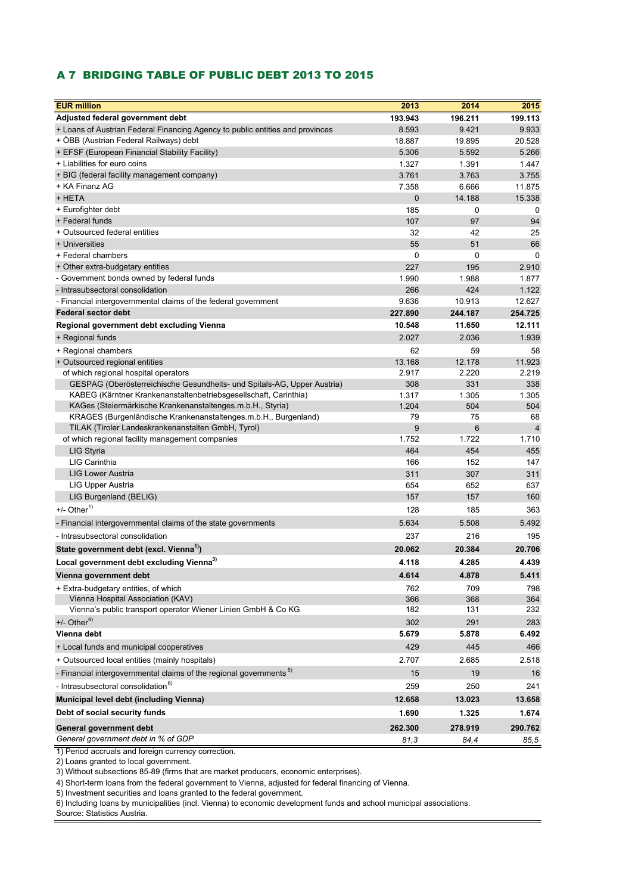#### A 7 BRIDGING TABLE OF PUBLIC DEBT 2013 TO 2015

| Adjusted federal government debt<br>193.943<br>196.211<br>199.113<br>+ Loans of Austrian Federal Financing Agency to public entities and provinces<br>8.593<br>9.421<br>9.933<br>+ OBB (Austrian Federal Railways) debt<br>18.887<br>19.895<br>20.528<br>+ EFSF (European Financial Stability Facility)<br>5.266<br>5.306<br>5.592<br>+ Liabilities for euro coins<br>1.327<br>1.391<br>1.447<br>3.761<br>3.755<br>+ BIG (federal facility management company)<br>3.763<br>+ KA Finanz AG<br>7.358<br>11.875<br>6.666<br>+ HETA<br>$\mathbf 0$<br>14.188<br>15.338<br>+ Eurofighter debt<br>185<br>0<br>0<br>+ Federal funds<br>107<br>97<br>94<br>+ Outsourced federal entities<br>32<br>42<br>25<br>+ Universities<br>55<br>66<br>51<br>+ Federal chambers<br>0<br>0<br>0<br>195<br>2.910<br>+ Other extra-budgetary entities<br>227<br>- Government bonds owned by federal funds<br>1.990<br>1.988<br>1.877<br>- Intrasubsectoral consolidation<br>424<br>1.122<br>266<br>9.636<br>10.913<br>12.627<br>- Financial intergovernmental claims of the federal government<br><b>Federal sector debt</b><br>227.890<br>254.725<br>244.187<br>12.111<br>10.548<br>11.650<br>Regional government debt excluding Vienna<br>2.027<br>2.036<br>1.939<br>+ Regional funds<br>62<br>59<br>58<br>+ Regional chambers<br>12.178<br>11.923<br>13.168<br>+ Outsourced regional entities<br>2.917<br>2.220<br>of which regional hospital operators<br>2.219<br>GESPAG (Oberösterreichische Gesundheits- und Spitals-AG, Upper Austria)<br>331<br>308<br>338<br>KABEG (Kärntner Krankenanstaltenbetriebsgesellschaft, Carinthia)<br>1.305<br>1.305<br>1.317<br>KAGes (Steiermärkische Krankenanstaltenges.m.b.H., Styria)<br>1.204<br>504<br>504<br>KRAGES (Burgenländische Krankenanstaltenges.m.b.H., Burgenland)<br>79<br>75<br>68<br>TILAK (Tiroler Landeskrankenanstalten GmbH, Tyrol)<br>9<br>6<br>$\overline{4}$<br>1.752<br>1.722<br>1.710<br>of which regional facility management companies<br>LIG Styria<br>464<br>454<br>455<br>LIG Carinthia<br>166<br>152<br>147<br><b>LIG Lower Austria</b><br>307<br>311<br>311<br>LIG Upper Austria<br>654<br>652<br>637<br>LIG Burgenland (BELIG)<br>157<br>157<br>160<br>$+/-$ Other <sup>1)</sup><br>128<br>185<br>363<br>5.508<br>5.634<br>5.492<br>- Financial intergovernmental claims of the state governments<br>216<br>- Intrasubsectoral consolidation<br>237<br>195<br>20.062<br>State government debt (excl. Vienna <sup>1)</sup> )<br>20.384<br>20.706<br>Local government debt excluding Vienna <sup>3)</sup><br>4.285<br>4.439<br>4.118<br>Vienna government debt<br>4.614<br>4.878<br>5.411<br>709<br>798<br>+ Extra-budgetary entities, of which<br>762<br>Vienna Hospital Association (KAV)<br>368<br>366<br>364<br>Vienna's public transport operator Wiener Linien GmbH & Co KG<br>182<br>131<br>232<br>$+/-$ Other <sup>4)</sup><br>291<br>302<br>283<br>Vienna debt<br>5.679<br>5.878<br>6.492<br>429<br>445<br>466<br>+ Local funds and municipal cooperatives<br>2.518<br>+ Outsourced local entities (mainly hospitals)<br>2.707<br>2.685<br>- Financial intergovernmental claims of the regional governments <sup>5)</sup><br>15<br>19<br>16<br>- Intrasubsectoral consolidation <sup>6)</sup><br>259<br>250<br>241<br>12.658<br>Municipal level debt (including Vienna)<br>13.023<br>13.658<br>Debt of social security funds<br>1.690<br>1.325<br>1.674<br>General government debt<br>262.300<br>278.919<br>290.762<br>General government debt in % of GDP<br>81,3<br>84,4<br>85,5 | <b>EUR million</b> | 2013 | 2014 | 2015 |
|-------------------------------------------------------------------------------------------------------------------------------------------------------------------------------------------------------------------------------------------------------------------------------------------------------------------------------------------------------------------------------------------------------------------------------------------------------------------------------------------------------------------------------------------------------------------------------------------------------------------------------------------------------------------------------------------------------------------------------------------------------------------------------------------------------------------------------------------------------------------------------------------------------------------------------------------------------------------------------------------------------------------------------------------------------------------------------------------------------------------------------------------------------------------------------------------------------------------------------------------------------------------------------------------------------------------------------------------------------------------------------------------------------------------------------------------------------------------------------------------------------------------------------------------------------------------------------------------------------------------------------------------------------------------------------------------------------------------------------------------------------------------------------------------------------------------------------------------------------------------------------------------------------------------------------------------------------------------------------------------------------------------------------------------------------------------------------------------------------------------------------------------------------------------------------------------------------------------------------------------------------------------------------------------------------------------------------------------------------------------------------------------------------------------------------------------------------------------------------------------------------------------------------------------------------------------------------------------------------------------------------------------------------------------------------------------------------------------------------------------------------------------------------------------------------------------------------------------------------------------------------------------------------------------------------------------------------------------------------------------------------------------------------------------------------------------------------------------------------------------------------------------------------------------------------------------------------------------------------------------------------------------------------------------------------------------------------------------------------------------------------------------------------------------------------------------------------------------------------------------------------------------------------------------------|--------------------|------|------|------|
|                                                                                                                                                                                                                                                                                                                                                                                                                                                                                                                                                                                                                                                                                                                                                                                                                                                                                                                                                                                                                                                                                                                                                                                                                                                                                                                                                                                                                                                                                                                                                                                                                                                                                                                                                                                                                                                                                                                                                                                                                                                                                                                                                                                                                                                                                                                                                                                                                                                                                                                                                                                                                                                                                                                                                                                                                                                                                                                                                                                                                                                                                                                                                                                                                                                                                                                                                                                                                                                                                                                                                 |                    |      |      |      |
|                                                                                                                                                                                                                                                                                                                                                                                                                                                                                                                                                                                                                                                                                                                                                                                                                                                                                                                                                                                                                                                                                                                                                                                                                                                                                                                                                                                                                                                                                                                                                                                                                                                                                                                                                                                                                                                                                                                                                                                                                                                                                                                                                                                                                                                                                                                                                                                                                                                                                                                                                                                                                                                                                                                                                                                                                                                                                                                                                                                                                                                                                                                                                                                                                                                                                                                                                                                                                                                                                                                                                 |                    |      |      |      |
|                                                                                                                                                                                                                                                                                                                                                                                                                                                                                                                                                                                                                                                                                                                                                                                                                                                                                                                                                                                                                                                                                                                                                                                                                                                                                                                                                                                                                                                                                                                                                                                                                                                                                                                                                                                                                                                                                                                                                                                                                                                                                                                                                                                                                                                                                                                                                                                                                                                                                                                                                                                                                                                                                                                                                                                                                                                                                                                                                                                                                                                                                                                                                                                                                                                                                                                                                                                                                                                                                                                                                 |                    |      |      |      |
|                                                                                                                                                                                                                                                                                                                                                                                                                                                                                                                                                                                                                                                                                                                                                                                                                                                                                                                                                                                                                                                                                                                                                                                                                                                                                                                                                                                                                                                                                                                                                                                                                                                                                                                                                                                                                                                                                                                                                                                                                                                                                                                                                                                                                                                                                                                                                                                                                                                                                                                                                                                                                                                                                                                                                                                                                                                                                                                                                                                                                                                                                                                                                                                                                                                                                                                                                                                                                                                                                                                                                 |                    |      |      |      |
|                                                                                                                                                                                                                                                                                                                                                                                                                                                                                                                                                                                                                                                                                                                                                                                                                                                                                                                                                                                                                                                                                                                                                                                                                                                                                                                                                                                                                                                                                                                                                                                                                                                                                                                                                                                                                                                                                                                                                                                                                                                                                                                                                                                                                                                                                                                                                                                                                                                                                                                                                                                                                                                                                                                                                                                                                                                                                                                                                                                                                                                                                                                                                                                                                                                                                                                                                                                                                                                                                                                                                 |                    |      |      |      |
|                                                                                                                                                                                                                                                                                                                                                                                                                                                                                                                                                                                                                                                                                                                                                                                                                                                                                                                                                                                                                                                                                                                                                                                                                                                                                                                                                                                                                                                                                                                                                                                                                                                                                                                                                                                                                                                                                                                                                                                                                                                                                                                                                                                                                                                                                                                                                                                                                                                                                                                                                                                                                                                                                                                                                                                                                                                                                                                                                                                                                                                                                                                                                                                                                                                                                                                                                                                                                                                                                                                                                 |                    |      |      |      |
|                                                                                                                                                                                                                                                                                                                                                                                                                                                                                                                                                                                                                                                                                                                                                                                                                                                                                                                                                                                                                                                                                                                                                                                                                                                                                                                                                                                                                                                                                                                                                                                                                                                                                                                                                                                                                                                                                                                                                                                                                                                                                                                                                                                                                                                                                                                                                                                                                                                                                                                                                                                                                                                                                                                                                                                                                                                                                                                                                                                                                                                                                                                                                                                                                                                                                                                                                                                                                                                                                                                                                 |                    |      |      |      |
|                                                                                                                                                                                                                                                                                                                                                                                                                                                                                                                                                                                                                                                                                                                                                                                                                                                                                                                                                                                                                                                                                                                                                                                                                                                                                                                                                                                                                                                                                                                                                                                                                                                                                                                                                                                                                                                                                                                                                                                                                                                                                                                                                                                                                                                                                                                                                                                                                                                                                                                                                                                                                                                                                                                                                                                                                                                                                                                                                                                                                                                                                                                                                                                                                                                                                                                                                                                                                                                                                                                                                 |                    |      |      |      |
|                                                                                                                                                                                                                                                                                                                                                                                                                                                                                                                                                                                                                                                                                                                                                                                                                                                                                                                                                                                                                                                                                                                                                                                                                                                                                                                                                                                                                                                                                                                                                                                                                                                                                                                                                                                                                                                                                                                                                                                                                                                                                                                                                                                                                                                                                                                                                                                                                                                                                                                                                                                                                                                                                                                                                                                                                                                                                                                                                                                                                                                                                                                                                                                                                                                                                                                                                                                                                                                                                                                                                 |                    |      |      |      |
|                                                                                                                                                                                                                                                                                                                                                                                                                                                                                                                                                                                                                                                                                                                                                                                                                                                                                                                                                                                                                                                                                                                                                                                                                                                                                                                                                                                                                                                                                                                                                                                                                                                                                                                                                                                                                                                                                                                                                                                                                                                                                                                                                                                                                                                                                                                                                                                                                                                                                                                                                                                                                                                                                                                                                                                                                                                                                                                                                                                                                                                                                                                                                                                                                                                                                                                                                                                                                                                                                                                                                 |                    |      |      |      |
|                                                                                                                                                                                                                                                                                                                                                                                                                                                                                                                                                                                                                                                                                                                                                                                                                                                                                                                                                                                                                                                                                                                                                                                                                                                                                                                                                                                                                                                                                                                                                                                                                                                                                                                                                                                                                                                                                                                                                                                                                                                                                                                                                                                                                                                                                                                                                                                                                                                                                                                                                                                                                                                                                                                                                                                                                                                                                                                                                                                                                                                                                                                                                                                                                                                                                                                                                                                                                                                                                                                                                 |                    |      |      |      |
|                                                                                                                                                                                                                                                                                                                                                                                                                                                                                                                                                                                                                                                                                                                                                                                                                                                                                                                                                                                                                                                                                                                                                                                                                                                                                                                                                                                                                                                                                                                                                                                                                                                                                                                                                                                                                                                                                                                                                                                                                                                                                                                                                                                                                                                                                                                                                                                                                                                                                                                                                                                                                                                                                                                                                                                                                                                                                                                                                                                                                                                                                                                                                                                                                                                                                                                                                                                                                                                                                                                                                 |                    |      |      |      |
|                                                                                                                                                                                                                                                                                                                                                                                                                                                                                                                                                                                                                                                                                                                                                                                                                                                                                                                                                                                                                                                                                                                                                                                                                                                                                                                                                                                                                                                                                                                                                                                                                                                                                                                                                                                                                                                                                                                                                                                                                                                                                                                                                                                                                                                                                                                                                                                                                                                                                                                                                                                                                                                                                                                                                                                                                                                                                                                                                                                                                                                                                                                                                                                                                                                                                                                                                                                                                                                                                                                                                 |                    |      |      |      |
|                                                                                                                                                                                                                                                                                                                                                                                                                                                                                                                                                                                                                                                                                                                                                                                                                                                                                                                                                                                                                                                                                                                                                                                                                                                                                                                                                                                                                                                                                                                                                                                                                                                                                                                                                                                                                                                                                                                                                                                                                                                                                                                                                                                                                                                                                                                                                                                                                                                                                                                                                                                                                                                                                                                                                                                                                                                                                                                                                                                                                                                                                                                                                                                                                                                                                                                                                                                                                                                                                                                                                 |                    |      |      |      |
|                                                                                                                                                                                                                                                                                                                                                                                                                                                                                                                                                                                                                                                                                                                                                                                                                                                                                                                                                                                                                                                                                                                                                                                                                                                                                                                                                                                                                                                                                                                                                                                                                                                                                                                                                                                                                                                                                                                                                                                                                                                                                                                                                                                                                                                                                                                                                                                                                                                                                                                                                                                                                                                                                                                                                                                                                                                                                                                                                                                                                                                                                                                                                                                                                                                                                                                                                                                                                                                                                                                                                 |                    |      |      |      |
|                                                                                                                                                                                                                                                                                                                                                                                                                                                                                                                                                                                                                                                                                                                                                                                                                                                                                                                                                                                                                                                                                                                                                                                                                                                                                                                                                                                                                                                                                                                                                                                                                                                                                                                                                                                                                                                                                                                                                                                                                                                                                                                                                                                                                                                                                                                                                                                                                                                                                                                                                                                                                                                                                                                                                                                                                                                                                                                                                                                                                                                                                                                                                                                                                                                                                                                                                                                                                                                                                                                                                 |                    |      |      |      |
|                                                                                                                                                                                                                                                                                                                                                                                                                                                                                                                                                                                                                                                                                                                                                                                                                                                                                                                                                                                                                                                                                                                                                                                                                                                                                                                                                                                                                                                                                                                                                                                                                                                                                                                                                                                                                                                                                                                                                                                                                                                                                                                                                                                                                                                                                                                                                                                                                                                                                                                                                                                                                                                                                                                                                                                                                                                                                                                                                                                                                                                                                                                                                                                                                                                                                                                                                                                                                                                                                                                                                 |                    |      |      |      |
|                                                                                                                                                                                                                                                                                                                                                                                                                                                                                                                                                                                                                                                                                                                                                                                                                                                                                                                                                                                                                                                                                                                                                                                                                                                                                                                                                                                                                                                                                                                                                                                                                                                                                                                                                                                                                                                                                                                                                                                                                                                                                                                                                                                                                                                                                                                                                                                                                                                                                                                                                                                                                                                                                                                                                                                                                                                                                                                                                                                                                                                                                                                                                                                                                                                                                                                                                                                                                                                                                                                                                 |                    |      |      |      |
|                                                                                                                                                                                                                                                                                                                                                                                                                                                                                                                                                                                                                                                                                                                                                                                                                                                                                                                                                                                                                                                                                                                                                                                                                                                                                                                                                                                                                                                                                                                                                                                                                                                                                                                                                                                                                                                                                                                                                                                                                                                                                                                                                                                                                                                                                                                                                                                                                                                                                                                                                                                                                                                                                                                                                                                                                                                                                                                                                                                                                                                                                                                                                                                                                                                                                                                                                                                                                                                                                                                                                 |                    |      |      |      |
|                                                                                                                                                                                                                                                                                                                                                                                                                                                                                                                                                                                                                                                                                                                                                                                                                                                                                                                                                                                                                                                                                                                                                                                                                                                                                                                                                                                                                                                                                                                                                                                                                                                                                                                                                                                                                                                                                                                                                                                                                                                                                                                                                                                                                                                                                                                                                                                                                                                                                                                                                                                                                                                                                                                                                                                                                                                                                                                                                                                                                                                                                                                                                                                                                                                                                                                                                                                                                                                                                                                                                 |                    |      |      |      |
|                                                                                                                                                                                                                                                                                                                                                                                                                                                                                                                                                                                                                                                                                                                                                                                                                                                                                                                                                                                                                                                                                                                                                                                                                                                                                                                                                                                                                                                                                                                                                                                                                                                                                                                                                                                                                                                                                                                                                                                                                                                                                                                                                                                                                                                                                                                                                                                                                                                                                                                                                                                                                                                                                                                                                                                                                                                                                                                                                                                                                                                                                                                                                                                                                                                                                                                                                                                                                                                                                                                                                 |                    |      |      |      |
|                                                                                                                                                                                                                                                                                                                                                                                                                                                                                                                                                                                                                                                                                                                                                                                                                                                                                                                                                                                                                                                                                                                                                                                                                                                                                                                                                                                                                                                                                                                                                                                                                                                                                                                                                                                                                                                                                                                                                                                                                                                                                                                                                                                                                                                                                                                                                                                                                                                                                                                                                                                                                                                                                                                                                                                                                                                                                                                                                                                                                                                                                                                                                                                                                                                                                                                                                                                                                                                                                                                                                 |                    |      |      |      |
|                                                                                                                                                                                                                                                                                                                                                                                                                                                                                                                                                                                                                                                                                                                                                                                                                                                                                                                                                                                                                                                                                                                                                                                                                                                                                                                                                                                                                                                                                                                                                                                                                                                                                                                                                                                                                                                                                                                                                                                                                                                                                                                                                                                                                                                                                                                                                                                                                                                                                                                                                                                                                                                                                                                                                                                                                                                                                                                                                                                                                                                                                                                                                                                                                                                                                                                                                                                                                                                                                                                                                 |                    |      |      |      |
|                                                                                                                                                                                                                                                                                                                                                                                                                                                                                                                                                                                                                                                                                                                                                                                                                                                                                                                                                                                                                                                                                                                                                                                                                                                                                                                                                                                                                                                                                                                                                                                                                                                                                                                                                                                                                                                                                                                                                                                                                                                                                                                                                                                                                                                                                                                                                                                                                                                                                                                                                                                                                                                                                                                                                                                                                                                                                                                                                                                                                                                                                                                                                                                                                                                                                                                                                                                                                                                                                                                                                 |                    |      |      |      |
|                                                                                                                                                                                                                                                                                                                                                                                                                                                                                                                                                                                                                                                                                                                                                                                                                                                                                                                                                                                                                                                                                                                                                                                                                                                                                                                                                                                                                                                                                                                                                                                                                                                                                                                                                                                                                                                                                                                                                                                                                                                                                                                                                                                                                                                                                                                                                                                                                                                                                                                                                                                                                                                                                                                                                                                                                                                                                                                                                                                                                                                                                                                                                                                                                                                                                                                                                                                                                                                                                                                                                 |                    |      |      |      |
|                                                                                                                                                                                                                                                                                                                                                                                                                                                                                                                                                                                                                                                                                                                                                                                                                                                                                                                                                                                                                                                                                                                                                                                                                                                                                                                                                                                                                                                                                                                                                                                                                                                                                                                                                                                                                                                                                                                                                                                                                                                                                                                                                                                                                                                                                                                                                                                                                                                                                                                                                                                                                                                                                                                                                                                                                                                                                                                                                                                                                                                                                                                                                                                                                                                                                                                                                                                                                                                                                                                                                 |                    |      |      |      |
|                                                                                                                                                                                                                                                                                                                                                                                                                                                                                                                                                                                                                                                                                                                                                                                                                                                                                                                                                                                                                                                                                                                                                                                                                                                                                                                                                                                                                                                                                                                                                                                                                                                                                                                                                                                                                                                                                                                                                                                                                                                                                                                                                                                                                                                                                                                                                                                                                                                                                                                                                                                                                                                                                                                                                                                                                                                                                                                                                                                                                                                                                                                                                                                                                                                                                                                                                                                                                                                                                                                                                 |                    |      |      |      |
|                                                                                                                                                                                                                                                                                                                                                                                                                                                                                                                                                                                                                                                                                                                                                                                                                                                                                                                                                                                                                                                                                                                                                                                                                                                                                                                                                                                                                                                                                                                                                                                                                                                                                                                                                                                                                                                                                                                                                                                                                                                                                                                                                                                                                                                                                                                                                                                                                                                                                                                                                                                                                                                                                                                                                                                                                                                                                                                                                                                                                                                                                                                                                                                                                                                                                                                                                                                                                                                                                                                                                 |                    |      |      |      |
|                                                                                                                                                                                                                                                                                                                                                                                                                                                                                                                                                                                                                                                                                                                                                                                                                                                                                                                                                                                                                                                                                                                                                                                                                                                                                                                                                                                                                                                                                                                                                                                                                                                                                                                                                                                                                                                                                                                                                                                                                                                                                                                                                                                                                                                                                                                                                                                                                                                                                                                                                                                                                                                                                                                                                                                                                                                                                                                                                                                                                                                                                                                                                                                                                                                                                                                                                                                                                                                                                                                                                 |                    |      |      |      |
|                                                                                                                                                                                                                                                                                                                                                                                                                                                                                                                                                                                                                                                                                                                                                                                                                                                                                                                                                                                                                                                                                                                                                                                                                                                                                                                                                                                                                                                                                                                                                                                                                                                                                                                                                                                                                                                                                                                                                                                                                                                                                                                                                                                                                                                                                                                                                                                                                                                                                                                                                                                                                                                                                                                                                                                                                                                                                                                                                                                                                                                                                                                                                                                                                                                                                                                                                                                                                                                                                                                                                 |                    |      |      |      |
|                                                                                                                                                                                                                                                                                                                                                                                                                                                                                                                                                                                                                                                                                                                                                                                                                                                                                                                                                                                                                                                                                                                                                                                                                                                                                                                                                                                                                                                                                                                                                                                                                                                                                                                                                                                                                                                                                                                                                                                                                                                                                                                                                                                                                                                                                                                                                                                                                                                                                                                                                                                                                                                                                                                                                                                                                                                                                                                                                                                                                                                                                                                                                                                                                                                                                                                                                                                                                                                                                                                                                 |                    |      |      |      |
|                                                                                                                                                                                                                                                                                                                                                                                                                                                                                                                                                                                                                                                                                                                                                                                                                                                                                                                                                                                                                                                                                                                                                                                                                                                                                                                                                                                                                                                                                                                                                                                                                                                                                                                                                                                                                                                                                                                                                                                                                                                                                                                                                                                                                                                                                                                                                                                                                                                                                                                                                                                                                                                                                                                                                                                                                                                                                                                                                                                                                                                                                                                                                                                                                                                                                                                                                                                                                                                                                                                                                 |                    |      |      |      |
|                                                                                                                                                                                                                                                                                                                                                                                                                                                                                                                                                                                                                                                                                                                                                                                                                                                                                                                                                                                                                                                                                                                                                                                                                                                                                                                                                                                                                                                                                                                                                                                                                                                                                                                                                                                                                                                                                                                                                                                                                                                                                                                                                                                                                                                                                                                                                                                                                                                                                                                                                                                                                                                                                                                                                                                                                                                                                                                                                                                                                                                                                                                                                                                                                                                                                                                                                                                                                                                                                                                                                 |                    |      |      |      |
|                                                                                                                                                                                                                                                                                                                                                                                                                                                                                                                                                                                                                                                                                                                                                                                                                                                                                                                                                                                                                                                                                                                                                                                                                                                                                                                                                                                                                                                                                                                                                                                                                                                                                                                                                                                                                                                                                                                                                                                                                                                                                                                                                                                                                                                                                                                                                                                                                                                                                                                                                                                                                                                                                                                                                                                                                                                                                                                                                                                                                                                                                                                                                                                                                                                                                                                                                                                                                                                                                                                                                 |                    |      |      |      |
|                                                                                                                                                                                                                                                                                                                                                                                                                                                                                                                                                                                                                                                                                                                                                                                                                                                                                                                                                                                                                                                                                                                                                                                                                                                                                                                                                                                                                                                                                                                                                                                                                                                                                                                                                                                                                                                                                                                                                                                                                                                                                                                                                                                                                                                                                                                                                                                                                                                                                                                                                                                                                                                                                                                                                                                                                                                                                                                                                                                                                                                                                                                                                                                                                                                                                                                                                                                                                                                                                                                                                 |                    |      |      |      |
|                                                                                                                                                                                                                                                                                                                                                                                                                                                                                                                                                                                                                                                                                                                                                                                                                                                                                                                                                                                                                                                                                                                                                                                                                                                                                                                                                                                                                                                                                                                                                                                                                                                                                                                                                                                                                                                                                                                                                                                                                                                                                                                                                                                                                                                                                                                                                                                                                                                                                                                                                                                                                                                                                                                                                                                                                                                                                                                                                                                                                                                                                                                                                                                                                                                                                                                                                                                                                                                                                                                                                 |                    |      |      |      |
|                                                                                                                                                                                                                                                                                                                                                                                                                                                                                                                                                                                                                                                                                                                                                                                                                                                                                                                                                                                                                                                                                                                                                                                                                                                                                                                                                                                                                                                                                                                                                                                                                                                                                                                                                                                                                                                                                                                                                                                                                                                                                                                                                                                                                                                                                                                                                                                                                                                                                                                                                                                                                                                                                                                                                                                                                                                                                                                                                                                                                                                                                                                                                                                                                                                                                                                                                                                                                                                                                                                                                 |                    |      |      |      |
|                                                                                                                                                                                                                                                                                                                                                                                                                                                                                                                                                                                                                                                                                                                                                                                                                                                                                                                                                                                                                                                                                                                                                                                                                                                                                                                                                                                                                                                                                                                                                                                                                                                                                                                                                                                                                                                                                                                                                                                                                                                                                                                                                                                                                                                                                                                                                                                                                                                                                                                                                                                                                                                                                                                                                                                                                                                                                                                                                                                                                                                                                                                                                                                                                                                                                                                                                                                                                                                                                                                                                 |                    |      |      |      |
|                                                                                                                                                                                                                                                                                                                                                                                                                                                                                                                                                                                                                                                                                                                                                                                                                                                                                                                                                                                                                                                                                                                                                                                                                                                                                                                                                                                                                                                                                                                                                                                                                                                                                                                                                                                                                                                                                                                                                                                                                                                                                                                                                                                                                                                                                                                                                                                                                                                                                                                                                                                                                                                                                                                                                                                                                                                                                                                                                                                                                                                                                                                                                                                                                                                                                                                                                                                                                                                                                                                                                 |                    |      |      |      |
|                                                                                                                                                                                                                                                                                                                                                                                                                                                                                                                                                                                                                                                                                                                                                                                                                                                                                                                                                                                                                                                                                                                                                                                                                                                                                                                                                                                                                                                                                                                                                                                                                                                                                                                                                                                                                                                                                                                                                                                                                                                                                                                                                                                                                                                                                                                                                                                                                                                                                                                                                                                                                                                                                                                                                                                                                                                                                                                                                                                                                                                                                                                                                                                                                                                                                                                                                                                                                                                                                                                                                 |                    |      |      |      |
|                                                                                                                                                                                                                                                                                                                                                                                                                                                                                                                                                                                                                                                                                                                                                                                                                                                                                                                                                                                                                                                                                                                                                                                                                                                                                                                                                                                                                                                                                                                                                                                                                                                                                                                                                                                                                                                                                                                                                                                                                                                                                                                                                                                                                                                                                                                                                                                                                                                                                                                                                                                                                                                                                                                                                                                                                                                                                                                                                                                                                                                                                                                                                                                                                                                                                                                                                                                                                                                                                                                                                 |                    |      |      |      |
|                                                                                                                                                                                                                                                                                                                                                                                                                                                                                                                                                                                                                                                                                                                                                                                                                                                                                                                                                                                                                                                                                                                                                                                                                                                                                                                                                                                                                                                                                                                                                                                                                                                                                                                                                                                                                                                                                                                                                                                                                                                                                                                                                                                                                                                                                                                                                                                                                                                                                                                                                                                                                                                                                                                                                                                                                                                                                                                                                                                                                                                                                                                                                                                                                                                                                                                                                                                                                                                                                                                                                 |                    |      |      |      |
|                                                                                                                                                                                                                                                                                                                                                                                                                                                                                                                                                                                                                                                                                                                                                                                                                                                                                                                                                                                                                                                                                                                                                                                                                                                                                                                                                                                                                                                                                                                                                                                                                                                                                                                                                                                                                                                                                                                                                                                                                                                                                                                                                                                                                                                                                                                                                                                                                                                                                                                                                                                                                                                                                                                                                                                                                                                                                                                                                                                                                                                                                                                                                                                                                                                                                                                                                                                                                                                                                                                                                 |                    |      |      |      |
|                                                                                                                                                                                                                                                                                                                                                                                                                                                                                                                                                                                                                                                                                                                                                                                                                                                                                                                                                                                                                                                                                                                                                                                                                                                                                                                                                                                                                                                                                                                                                                                                                                                                                                                                                                                                                                                                                                                                                                                                                                                                                                                                                                                                                                                                                                                                                                                                                                                                                                                                                                                                                                                                                                                                                                                                                                                                                                                                                                                                                                                                                                                                                                                                                                                                                                                                                                                                                                                                                                                                                 |                    |      |      |      |
|                                                                                                                                                                                                                                                                                                                                                                                                                                                                                                                                                                                                                                                                                                                                                                                                                                                                                                                                                                                                                                                                                                                                                                                                                                                                                                                                                                                                                                                                                                                                                                                                                                                                                                                                                                                                                                                                                                                                                                                                                                                                                                                                                                                                                                                                                                                                                                                                                                                                                                                                                                                                                                                                                                                                                                                                                                                                                                                                                                                                                                                                                                                                                                                                                                                                                                                                                                                                                                                                                                                                                 |                    |      |      |      |
|                                                                                                                                                                                                                                                                                                                                                                                                                                                                                                                                                                                                                                                                                                                                                                                                                                                                                                                                                                                                                                                                                                                                                                                                                                                                                                                                                                                                                                                                                                                                                                                                                                                                                                                                                                                                                                                                                                                                                                                                                                                                                                                                                                                                                                                                                                                                                                                                                                                                                                                                                                                                                                                                                                                                                                                                                                                                                                                                                                                                                                                                                                                                                                                                                                                                                                                                                                                                                                                                                                                                                 |                    |      |      |      |
|                                                                                                                                                                                                                                                                                                                                                                                                                                                                                                                                                                                                                                                                                                                                                                                                                                                                                                                                                                                                                                                                                                                                                                                                                                                                                                                                                                                                                                                                                                                                                                                                                                                                                                                                                                                                                                                                                                                                                                                                                                                                                                                                                                                                                                                                                                                                                                                                                                                                                                                                                                                                                                                                                                                                                                                                                                                                                                                                                                                                                                                                                                                                                                                                                                                                                                                                                                                                                                                                                                                                                 |                    |      |      |      |
|                                                                                                                                                                                                                                                                                                                                                                                                                                                                                                                                                                                                                                                                                                                                                                                                                                                                                                                                                                                                                                                                                                                                                                                                                                                                                                                                                                                                                                                                                                                                                                                                                                                                                                                                                                                                                                                                                                                                                                                                                                                                                                                                                                                                                                                                                                                                                                                                                                                                                                                                                                                                                                                                                                                                                                                                                                                                                                                                                                                                                                                                                                                                                                                                                                                                                                                                                                                                                                                                                                                                                 |                    |      |      |      |
|                                                                                                                                                                                                                                                                                                                                                                                                                                                                                                                                                                                                                                                                                                                                                                                                                                                                                                                                                                                                                                                                                                                                                                                                                                                                                                                                                                                                                                                                                                                                                                                                                                                                                                                                                                                                                                                                                                                                                                                                                                                                                                                                                                                                                                                                                                                                                                                                                                                                                                                                                                                                                                                                                                                                                                                                                                                                                                                                                                                                                                                                                                                                                                                                                                                                                                                                                                                                                                                                                                                                                 |                    |      |      |      |
|                                                                                                                                                                                                                                                                                                                                                                                                                                                                                                                                                                                                                                                                                                                                                                                                                                                                                                                                                                                                                                                                                                                                                                                                                                                                                                                                                                                                                                                                                                                                                                                                                                                                                                                                                                                                                                                                                                                                                                                                                                                                                                                                                                                                                                                                                                                                                                                                                                                                                                                                                                                                                                                                                                                                                                                                                                                                                                                                                                                                                                                                                                                                                                                                                                                                                                                                                                                                                                                                                                                                                 |                    |      |      |      |
|                                                                                                                                                                                                                                                                                                                                                                                                                                                                                                                                                                                                                                                                                                                                                                                                                                                                                                                                                                                                                                                                                                                                                                                                                                                                                                                                                                                                                                                                                                                                                                                                                                                                                                                                                                                                                                                                                                                                                                                                                                                                                                                                                                                                                                                                                                                                                                                                                                                                                                                                                                                                                                                                                                                                                                                                                                                                                                                                                                                                                                                                                                                                                                                                                                                                                                                                                                                                                                                                                                                                                 |                    |      |      |      |
|                                                                                                                                                                                                                                                                                                                                                                                                                                                                                                                                                                                                                                                                                                                                                                                                                                                                                                                                                                                                                                                                                                                                                                                                                                                                                                                                                                                                                                                                                                                                                                                                                                                                                                                                                                                                                                                                                                                                                                                                                                                                                                                                                                                                                                                                                                                                                                                                                                                                                                                                                                                                                                                                                                                                                                                                                                                                                                                                                                                                                                                                                                                                                                                                                                                                                                                                                                                                                                                                                                                                                 |                    |      |      |      |
|                                                                                                                                                                                                                                                                                                                                                                                                                                                                                                                                                                                                                                                                                                                                                                                                                                                                                                                                                                                                                                                                                                                                                                                                                                                                                                                                                                                                                                                                                                                                                                                                                                                                                                                                                                                                                                                                                                                                                                                                                                                                                                                                                                                                                                                                                                                                                                                                                                                                                                                                                                                                                                                                                                                                                                                                                                                                                                                                                                                                                                                                                                                                                                                                                                                                                                                                                                                                                                                                                                                                                 |                    |      |      |      |

1) Period accruals and foreign currency correction.

2) Loans granted to local government.

3) Without subsections 85-89 (firms that are market producers, economic enterprises).

4) Short-term loans from the federal government to Vienna, adjusted for federal financing of Vienna.

5) Investment securities and loans granted to the federal government.

6) Including loans by municipalities (incl. Vienna) to economic development funds and school municipal associations.

Source: Statistics Austria.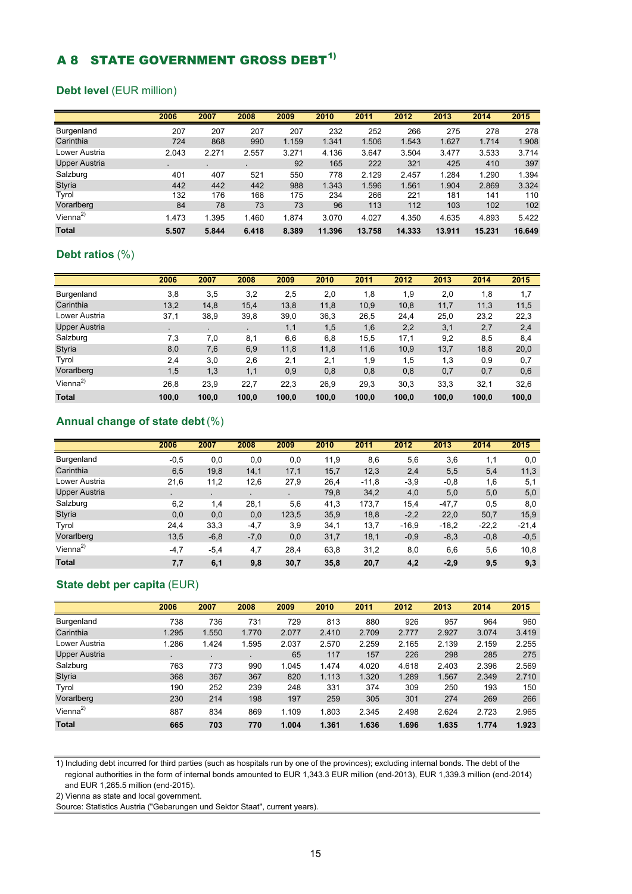# A 8 STATE GOVERNMENT GROSS DEBT<sup>1)</sup>

#### **Debt level** (EUR million)

|                      | 2006  | 2007  | 2008  | 2009  | 2010   | 2011   | 2012   | 2013   | 2014   | 2015   |
|----------------------|-------|-------|-------|-------|--------|--------|--------|--------|--------|--------|
| Burgenland           | 207   | 207   | 207   | 207   | 232    | 252    | 266    | 275    | 278    | 278    |
| Carinthia            | 724   | 868   | 990   | 1.159 | 1.341  | 1.506  | 1.543  | 1.627  | 1.714  | 1.908  |
| Lower Austria        | 2.043 | 2.271 | 2.557 | 3.271 | 4.136  | 3.647  | 3.504  | 3.477  | 3.533  | 3.714  |
| Upper Austria        | ٠     |       |       | 92    | 165    | 222    | 321    | 425    | 410    | 397    |
| Salzburg             | 401   | 407   | 521   | 550   | 778    | 2.129  | 2.457  | 1.284  | 1.290  | 1.394  |
| <b>Styria</b>        | 442   | 442   | 442   | 988   | 1.343  | 1.596  | 1.561  | 1.904  | 2.869  | 3.324  |
| Tyrol                | 132   | 176   | 168   | 175   | 234    | 266    | 221    | 181    | 141    | 110    |
| Vorarlberg           | 84    | 78    | 73    | 73    | 96     | 113    | 112    | 103    | 102    | 102    |
| Vienna <sup>2)</sup> | 1.473 | 1.395 | 1.460 | 1.874 | 3.070  | 4.027  | 4.350  | 4.635  | 4.893  | 5.422  |
| <b>Total</b>         | 5.507 | 5.844 | 6.418 | 8.389 | 11.396 | 13.758 | 14.333 | 13.911 | 15.231 | 16.649 |

#### **Debt ratios** (%)

|                      | 2006  | 2007      | 2008  | 2009  | 2010  | 2011  | 2012  | 2013  | 2014  | 2015  |
|----------------------|-------|-----------|-------|-------|-------|-------|-------|-------|-------|-------|
| Burgenland           | 3,8   | 3,5       | 3,2   | 2,5   | 2,0   | 1,8   | 1,9   | 2,0   | 1,8   | 1,7   |
| Carinthia            | 13,2  | 14,8      | 15,4  | 13,8  | 11,8  | 10,9  | 10,8  | 11,7  | 11,3  | 11,5  |
| Lower Austria        | 37,1  | 38,9      | 39,8  | 39,0  | 36,3  | 26,5  | 24,4  | 25,0  | 23,2  | 22,3  |
| <b>Upper Austria</b> |       | $\bullet$ |       | 1,1   | 1,5   | 1,6   | 2,2   | 3,1   | 2,7   | 2,4   |
| Salzburg             | 7,3   | 7,0       | 8,1   | 6,6   | 6,8   | 15,5  | 17,1  | 9,2   | 8,5   | 8,4   |
| <b>Styria</b>        | 8,0   | 7,6       | 6,9   | 11,8  | 11,8  | 11,6  | 10,9  | 13,7  | 18,8  | 20,0  |
| Tyrol                | 2,4   | 3,0       | 2,6   | 2,1   | 2,1   | 1,9   | 1,5   | 1,3   | 0,9   | 0,7   |
| Vorarlberg           | 1,5   | 1,3       | 1,1   | 0,9   | 0,8   | 0,8   | 0,8   | 0,7   | 0,7   | 0,6   |
| Vienna <sup>2)</sup> | 26,8  | 23,9      | 22,7  | 22,3  | 26,9  | 29,3  | 30,3  | 33,3  | 32,1  | 32,6  |
| <b>Total</b>         | 100.0 | 100,0     | 100,0 | 100,0 | 100,0 | 100,0 | 100,0 | 100.0 | 100,0 | 100.0 |

#### **Annual change of state debt** (%)

|                      | 2006   | 2007   | 2008           | 2009  | 2010 | 2011    | 2012    | 2013    | 2014    | 2015    |
|----------------------|--------|--------|----------------|-------|------|---------|---------|---------|---------|---------|
| Burgenland           | $-0,5$ | 0,0    | 0,0            | 0,0   | 11,9 | 8,6     | 5,6     | 3,6     | 1,1     | 0,0     |
| Carinthia            | 6,5    | 19,8   | 14,1           | 17,1  | 15,7 | 12,3    | 2,4     | 5,5     | 5,4     | 11,3    |
| Lower Austria        | 21,6   | 11,2   | 12,6           | 27,9  | 26,4 | $-11.8$ | $-3.9$  | $-0,8$  | 1,6     | 5,1     |
| <b>Upper Austria</b> |        |        | $\blacksquare$ |       | 79,8 | 34,2    | 4,0     | 5,0     | 5,0     | 5,0     |
| Salzburg             | 6,2    | 1,4    | 28,1           | 5,6   | 41,3 | 173.7   | 15,4    | $-47.7$ | 0,5     | 8,0     |
| <b>Styria</b>        | 0,0    | 0,0    | 0,0            | 123,5 | 35,9 | 18,8    | $-2,2$  | 22.0    | 50,7    | 15,9    |
| Tyrol                | 24,4   | 33,3   | $-4,7$         | 3,9   | 34,1 | 13,7    | $-16.9$ | $-18.2$ | $-22.2$ | $-21,4$ |
| Vorarlberg           | 13,5   | $-6,8$ | $-7,0$         | 0,0   | 31,7 | 18,1    | $-0.9$  | $-8,3$  | $-0,8$  | $-0,5$  |
| Vienna <sup>2)</sup> | $-4,7$ | $-5,4$ | 4,7            | 28,4  | 63,8 | 31,2    | 8,0     | 6,6     | 5,6     | 10,8    |
| <b>Total</b>         | 7,7    | 6,1    | 9,8            | 30,7  | 35,8 | 20,7    | 4,2     | $-2.9$  | 9,5     | 9,3     |

### **State debt per capita** (EUR)

|                      | 2006  | 2007           | 2008  | 2009  | 2010  | 2011  | 2012  | 2013  | 2014  | 2015  |
|----------------------|-------|----------------|-------|-------|-------|-------|-------|-------|-------|-------|
| Burgenland           | 738   | 736            | 731   | 729   | 813   | 880   | 926   | 957   | 964   | 960   |
| Carinthia            | 1.295 | 1.550          | 1.770 | 2.077 | 2.410 | 2.709 | 2.777 | 2.927 | 3.074 | 3.419 |
| Lower Austria        | 1.286 | 1.424          | 1.595 | 2.037 | 2.570 | 2.259 | 2.165 | 2.139 | 2.159 | 2.255 |
| <b>Upper Austria</b> | ٠     | $\blacksquare$ | ٠     | 65    | 117   | 157   | 226   | 298   | 285   | 275   |
| Salzburg             | 763   | 773            | 990   | 1.045 | 1.474 | 4.020 | 4.618 | 2.403 | 2.396 | 2.569 |
| Styria               | 368   | 367            | 367   | 820   | 1.113 | 1.320 | 1.289 | 1.567 | 2.349 | 2.710 |
| Tyrol                | 190   | 252            | 239   | 248   | 331   | 374   | 309   | 250   | 193   | 150   |
| Vorarlberg           | 230   | 214            | 198   | 197   | 259   | 305   | 301   | 274   | 269   | 266   |
| Vienna <sup>2)</sup> | 887   | 834            | 869   | 1.109 | 1.803 | 2.345 | 2.498 | 2.624 | 2.723 | 2.965 |
| <b>Total</b>         | 665   | 703            | 770   | 1.004 | 1.361 | 1.636 | 1.696 | 1.635 | 1.774 | 1.923 |

1) Including debt incurred for third parties (such as hospitals run by one of the provinces); excluding internal bonds. The debt of the regional authorities in the form of internal bonds amounted to EUR 1,343.3 EUR million (end-2013), EUR 1,339.3 million (end-2014) and EUR 1,265.5 million (end-2015).

2) Vienna as state and local government.

Source: Statistics Austria ("Gebarungen und Sektor Staat", current years).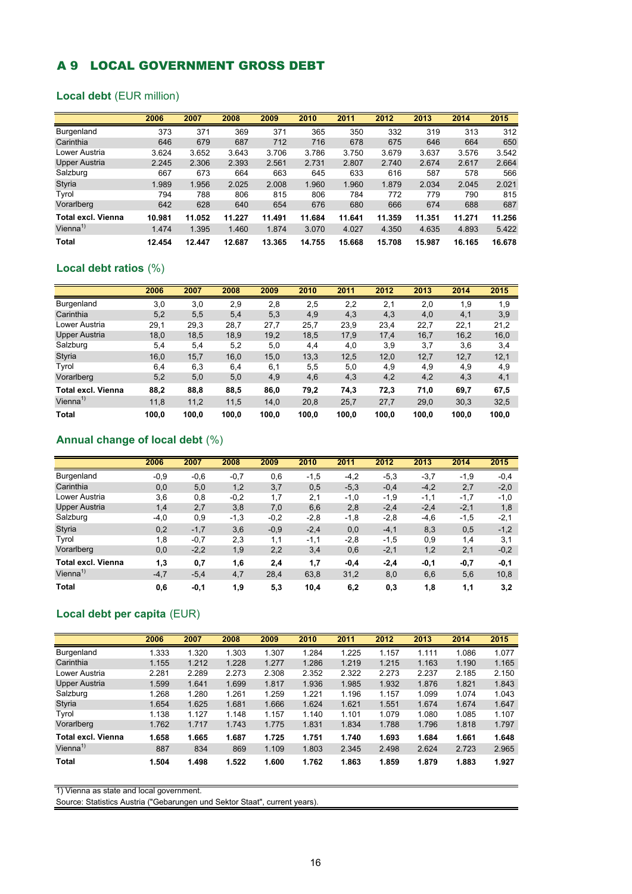## A 9 LOCAL GOVERNMENT GROSS DEBT

#### **Local debt** (EUR million)

|                           | 2006   | 2007   | 2008   | 2009   | 2010   | 2011   | 2012   | 2013   | 2014   | 2015   |
|---------------------------|--------|--------|--------|--------|--------|--------|--------|--------|--------|--------|
| Burgenland                | 373    | 371    | 369    | 371    | 365    | 350    | 332    | 319    | 313    | 312    |
| Carinthia                 | 646    | 679    | 687    | 712    | 716    | 678    | 675    | 646    | 664    | 650    |
| Lower Austria             | 3.624  | 3.652  | 3.643  | 3.706  | 3.786  | 3.750  | 3.679  | 3.637  | 3.576  | 3.542  |
| <b>Upper Austria</b>      | 2.245  | 2.306  | 2.393  | 2.561  | 2.731  | 2.807  | 2.740  | 2.674  | 2.617  | 2.664  |
| Salzburg                  | 667    | 673    | 664    | 663    | 645    | 633    | 616    | 587    | 578    | 566    |
| <b>Styria</b>             | 1.989  | 1.956  | 2.025  | 2.008  | 1.960  | 1.960  | 1.879  | 2.034  | 2.045  | 2.021  |
| Tyrol                     | 794    | 788    | 806    | 815    | 806    | 784    | 772    | 779    | 790    | 815    |
| Vorarlberg                | 642    | 628    | 640    | 654    | 676    | 680    | 666    | 674    | 688    | 687    |
| <b>Total excl. Vienna</b> | 10.981 | 11.052 | 11.227 | 11.491 | 11.684 | 11.641 | 11.359 | 11.351 | 11.271 | 11.256 |
| Vienna <sup>1)</sup>      | 1.474  | 1.395  | 1.460  | 1.874  | 3.070  | 4.027  | 4.350  | 4.635  | 4.893  | 5.422  |
| Total                     | 12.454 | 12.447 | 12.687 | 13.365 | 14.755 | 15.668 | 15.708 | 15.987 | 16.165 | 16.678 |

## **Local debt ratios** (%)

|                      | 2006  | 2007  | 2008  | 2009  | 2010  | 2011  | 2012  | 2013  | 2014  | 2015  |
|----------------------|-------|-------|-------|-------|-------|-------|-------|-------|-------|-------|
| Burgenland           | 3,0   | 3,0   | 2,9   | 2,8   | 2,5   | 2,2   | 2,1   | 2,0   | 1,9   | 1,9   |
| Carinthia            | 5,2   | 5,5   | 5,4   | 5,3   | 4,9   | 4,3   | 4,3   | 4,0   | 4,1   | 3,9   |
| Lower Austria        | 29,1  | 29,3  | 28,7  | 27,7  | 25,7  | 23,9  | 23,4  | 22,7  | 22,1  | 21,2  |
| <b>Upper Austria</b> | 18,0  | 18,5  | 18,9  | 19,2  | 18,5  | 17,9  | 17,4  | 16,7  | 16,2  | 16,0  |
| Salzburg             | 5,4   | 5,4   | 5,2   | 5,0   | 4,4   | 4,0   | 3,9   | 3,7   | 3,6   | 3,4   |
| <b>Styria</b>        | 16,0  | 15,7  | 16,0  | 15,0  | 13,3  | 12,5  | 12,0  | 12,7  | 12,7  | 12,1  |
| Tyrol                | 6,4   | 6,3   | 6,4   | 6,1   | 5,5   | 5,0   | 4,9   | 4,9   | 4,9   | 4,9   |
| Vorarlberg           | 5,2   | 5,0   | 5,0   | 4,9   | 4,6   | 4,3   | 4,2   | 4,2   | 4,3   | 4,1   |
| Total excl. Vienna   | 88,2  | 88,8  | 88,5  | 86,0  | 79,2  | 74,3  | 72,3  | 71,0  | 69,7  | 67,5  |
| Vienna <sup>1)</sup> | 11,8  | 11,2  | 11,5  | 14,0  | 20,8  | 25,7  | 27,7  | 29,0  | 30,3  | 32,5  |
| <b>Total</b>         | 100,0 | 100,0 | 100,0 | 100,0 | 100,0 | 100,0 | 100,0 | 100,0 | 100,0 | 100,0 |

#### **Annual change of local debt** (%)

|                           | 2006   | 2007   | 2008   | 2009   | 2010   | 2011   | 2012   | 2013   | 2014   | 2015   |
|---------------------------|--------|--------|--------|--------|--------|--------|--------|--------|--------|--------|
| Burgenland                | $-0.9$ | $-0,6$ | $-0,7$ | 0,6    | $-1,5$ | $-4,2$ | $-5,3$ | $-3,7$ | $-1,9$ | $-0.4$ |
| Carinthia                 | 0,0    | 5,0    | 1,2    | 3,7    | 0,5    | $-5,3$ | $-0,4$ | $-4,2$ | 2,7    | $-2,0$ |
| Lower Austria             | 3,6    | 0,8    | $-0,2$ | 1,7    | 2,1    | $-1,0$ | $-1,9$ | $-1,1$ | $-1,7$ | $-1,0$ |
| <b>Upper Austria</b>      | 1,4    | 2,7    | 3,8    | 7,0    | 6,6    | 2,8    | $-2,4$ | $-2,4$ | $-2,1$ | 1,8    |
| Salzburg                  | $-4,0$ | 0,9    | $-1,3$ | $-0,2$ | $-2,8$ | $-1,8$ | $-2,8$ | $-4,6$ | $-1,5$ | $-2,1$ |
| <b>Styria</b>             | 0,2    | $-1,7$ | 3,6    | $-0.9$ | $-2,4$ | 0,0    | $-4,1$ | 8,3    | 0,5    | $-1,2$ |
| Tvrol                     | 1,8    | $-0,7$ | 2,3    | 1,1    | $-1,1$ | $-2,8$ | $-1,5$ | 0,9    | 1,4    | 3,1    |
| Vorarlberg                | 0,0    | $-2,2$ | 1,9    | 2,2    | 3,4    | 0,6    | $-2,1$ | 1,2    | 2,1    | $-0,2$ |
| <b>Total excl. Vienna</b> | 1,3    | 0,7    | 1,6    | 2,4    | 1,7    | -0,4   | $-2,4$ | $-0,1$ | $-0,7$ | $-0,1$ |
| Vienna $1$                | $-4,7$ | $-5,4$ | 4,7    | 28,4   | 63,8   | 31,2   | 8,0    | 6,6    | 5,6    | 10,8   |
| <b>Total</b>              | 0,6    | $-0,1$ | 1,9    | 5,3    | 10,4   | 6,2    | 0,3    | 1,8    | 1,1    | 3,2    |

#### **Local debt per capita** (EUR)

|                      | 2006  | 2007  | 2008  | 2009  | 2010  | 2011  | 2012  | 2013  | 2014  | 2015  |
|----------------------|-------|-------|-------|-------|-------|-------|-------|-------|-------|-------|
| Burgenland           | 1.333 | 1.320 | 1.303 | 1.307 | 1.284 | 1.225 | 1.157 | 1.111 | 1.086 | 1.077 |
| Carinthia            | 1.155 | 1.212 | 1.228 | 1.277 | 1.286 | 1.219 | 1.215 | 1.163 | 1.190 | 1.165 |
| Lower Austria        | 2.281 | 2.289 | 2.273 | 2.308 | 2.352 | 2.322 | 2.273 | 2.237 | 2.185 | 2.150 |
| <b>Upper Austria</b> | 1.599 | 1.641 | 1.699 | 1.817 | 1.936 | 1.985 | 1.932 | 1.876 | 1.821 | 1.843 |
| Salzburg             | 1.268 | 1.280 | 1.261 | 1.259 | 1.221 | 1.196 | 1.157 | 1.099 | 1.074 | 1.043 |
| <b>Styria</b>        | 1.654 | 1.625 | 1.681 | 1.666 | 1.624 | 1.621 | 1.551 | 1.674 | 1.674 | 1.647 |
| Tyrol                | 1.138 | 1.127 | 1.148 | 1.157 | 1.140 | 1.101 | 1.079 | 1.080 | 1.085 | 1.107 |
| Vorarlberg           | 1.762 | 1.717 | 1.743 | 1.775 | 1.831 | 1.834 | 1.788 | 1.796 | 1.818 | 1.797 |
| Total excl. Vienna   | 1.658 | 1.665 | 1.687 | 1.725 | 1.751 | 1.740 | 1.693 | 1.684 | 1.661 | 1.648 |
| Vienna <sup>1)</sup> | 887   | 834   | 869   | 1.109 | 1.803 | 2.345 | 2.498 | 2.624 | 2.723 | 2.965 |
| Total                | 1.504 | 1.498 | 1.522 | 1.600 | 1.762 | 1.863 | 1.859 | 1.879 | 1.883 | 1.927 |

1) Vienna as state and local government.

Source: Statistics Austria ("Gebarungen und Sektor Staat", current years).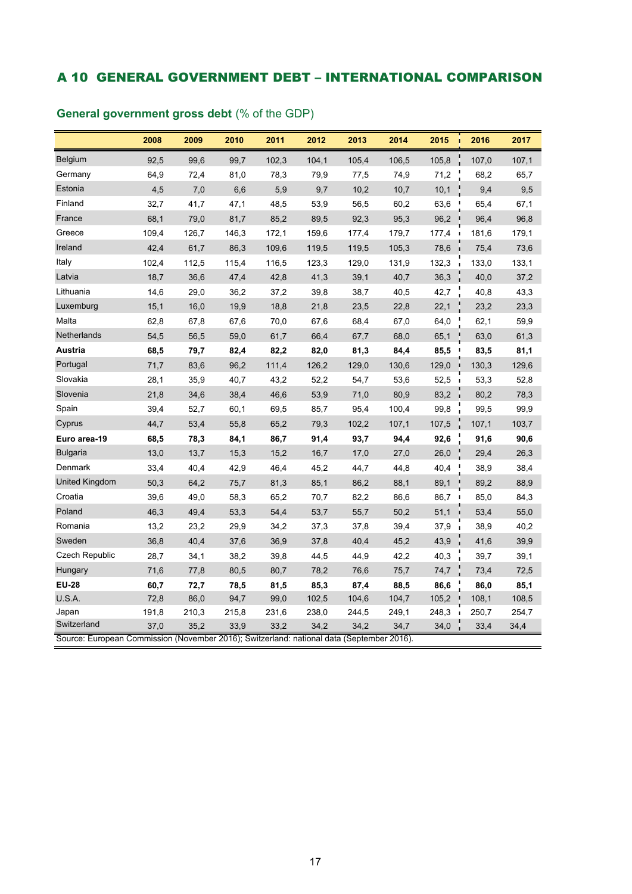## A 10 GENERAL GOVERNMENT DEBT – INTERNATIONAL COMPARISON

|                                                                                                          | 2008  | 2009  | 2010  | 2011  | 2012  | 2013  | 2014  | 2015<br>T.             | 2016  | 2017  |
|----------------------------------------------------------------------------------------------------------|-------|-------|-------|-------|-------|-------|-------|------------------------|-------|-------|
| Belgium                                                                                                  | 92,5  | 99,6  | 99,7  | 102,3 | 104,1 | 105,4 | 106,5 | 105,8                  | 107,0 | 107,1 |
| Germany                                                                                                  | 64,9  | 72,4  | 81,0  | 78,3  | 79,9  | 77,5  | 74,9  | 71,2                   | 68,2  | 65,7  |
| Estonia                                                                                                  | 4,5   | 7,0   | 6,6   | 5,9   | 9,7   | 10,2  | 10,7  | 10,1                   | 9,4   | 9,5   |
| Finland                                                                                                  | 32,7  | 41,7  | 47,1  | 48,5  | 53,9  | 56,5  | 60,2  | 63,6                   | 65,4  | 67,1  |
| France                                                                                                   | 68,1  | 79,0  | 81,7  | 85,2  | 89,5  | 92,3  | 95,3  | 96,2                   | 96,4  | 96,8  |
| Greece                                                                                                   | 109,4 | 126,7 | 146,3 | 172,1 | 159,6 | 177,4 | 179,7 | 177,4                  | 181,6 | 179,1 |
| Ireland                                                                                                  | 42,4  | 61,7  | 86,3  | 109,6 | 119,5 | 119,5 | 105,3 | 78,6<br>f,             | 75,4  | 73,6  |
| Italy                                                                                                    | 102,4 | 112,5 | 115,4 | 116,5 | 123,3 | 129,0 | 131,9 | 132,3                  | 133,0 | 133,1 |
| Latvia                                                                                                   | 18,7  | 36,6  | 47,4  | 42,8  | 41,3  | 39,1  | 40,7  | 36,3                   | 40,0  | 37,2  |
| Lithuania                                                                                                | 14,6  | 29,0  | 36,2  | 37,2  | 39,8  | 38,7  | 40,5  | 42,7                   | 40,8  | 43,3  |
| Luxemburg                                                                                                | 15,1  | 16,0  | 19,9  | 18,8  | 21,8  | 23,5  | 22,8  | 22,1                   | 23,2  | 23,3  |
| Malta                                                                                                    | 62,8  | 67,8  | 67,6  | 70,0  | 67,6  | 68,4  | 67,0  | 64,0                   | 62,1  | 59,9  |
| Netherlands                                                                                              | 54,5  | 56,5  | 59,0  | 61,7  | 66,4  | 67,7  | 68,0  | 65,1                   | 63,0  | 61,3  |
| Austria                                                                                                  | 68,5  | 79,7  | 82,4  | 82,2  | 82,0  | 81,3  | 84,4  | 85,5<br>- 1            | 83,5  | 81,1  |
| Portugal                                                                                                 | 71,7  | 83,6  | 96,2  | 111,4 | 126,2 | 129,0 | 130,6 | 129,0<br>J.            | 130,3 | 129,6 |
| Slovakia                                                                                                 | 28,1  | 35,9  | 40,7  | 43,2  | 52,2  | 54,7  | 53,6  | 52,5<br>$\blacksquare$ | 53,3  | 52,8  |
| Slovenia                                                                                                 | 21,8  | 34,6  | 38,4  | 46,6  | 53,9  | 71,0  | 80,9  | 83,2                   | 80,2  | 78,3  |
| Spain                                                                                                    | 39,4  | 52,7  | 60,1  | 69,5  | 85,7  | 95,4  | 100,4 | 99,8                   | 99,5  | 99,9  |
| Cyprus                                                                                                   | 44,7  | 53,4  | 55,8  | 65,2  | 79,3  | 102,2 | 107,1 | 107,5                  | 107,1 | 103,7 |
| Euro area-19                                                                                             | 68,5  | 78,3  | 84,1  | 86,7  | 91,4  | 93,7  | 94,4  | 92,6                   | 91,6  | 90,6  |
| <b>Bulgaria</b>                                                                                          | 13,0  | 13,7  | 15,3  | 15,2  | 16,7  | 17,0  | 27,0  | 26,0                   | 29,4  | 26,3  |
| Denmark                                                                                                  | 33,4  | 40,4  | 42,9  | 46,4  | 45,2  | 44,7  | 44,8  | 40,4<br><b>I</b>       | 38,9  | 38,4  |
| <b>United Kingdom</b>                                                                                    | 50,3  | 64,2  | 75,7  | 81,3  | 85,1  | 86,2  | 88,1  | 89,1<br>J.             | 89,2  | 88,9  |
| Croatia                                                                                                  | 39,6  | 49,0  | 58,3  | 65,2  | 70,7  | 82,2  | 86,6  | $86,7$ i               | 85,0  | 84,3  |
| Poland                                                                                                   | 46,3  | 49,4  | 53,3  | 54,4  | 53,7  | 55,7  | 50,2  | 51,1<br>ï              | 53,4  | 55,0  |
| Romania                                                                                                  | 13,2  | 23,2  | 29,9  | 34,2  | 37,3  | 37,8  | 39,4  | 37,9                   | 38,9  | 40,2  |
| Sweden                                                                                                   | 36,8  | 40,4  | 37,6  | 36,9  | 37,8  | 40,4  | 45,2  | 43,9                   | 41,6  | 39,9  |
| Czech Republic                                                                                           | 28,7  | 34,1  | 38,2  | 39,8  | 44,5  | 44,9  | 42,2  | 40,3                   | 39,7  | 39,1  |
| Hungary                                                                                                  | 71,6  | 77,8  | 80,5  | 80,7  | 78,2  | 76,6  | 75,7  | 74,7                   | 73,4  | 72,5  |
| <b>EU-28</b>                                                                                             | 60,7  | 72,7  | 78,5  | 81,5  | 85,3  | 87,4  | 88,5  | 86,6<br>J,             | 86,0  | 85,1  |
| U.S.A.                                                                                                   | 72,8  | 86,0  | 94,7  | 99,0  | 102,5 | 104,6 | 104,7 | 105,2                  | 108,1 | 108,5 |
| Japan                                                                                                    | 191,8 | 210,3 | 215,8 | 231,6 | 238,0 | 244,5 | 249,1 | 248,3                  | 250,7 | 254,7 |
| Switzerland<br>Source: European Commission (November 2016); Switzerland: national data (September 2016). | 37,0  | 35,2  | 33,9  | 33,2  | 34,2  | 34,2  | 34,7  | 34,0                   | 33,4  | 34,4  |

## **General government gross debt** (% of the GDP)